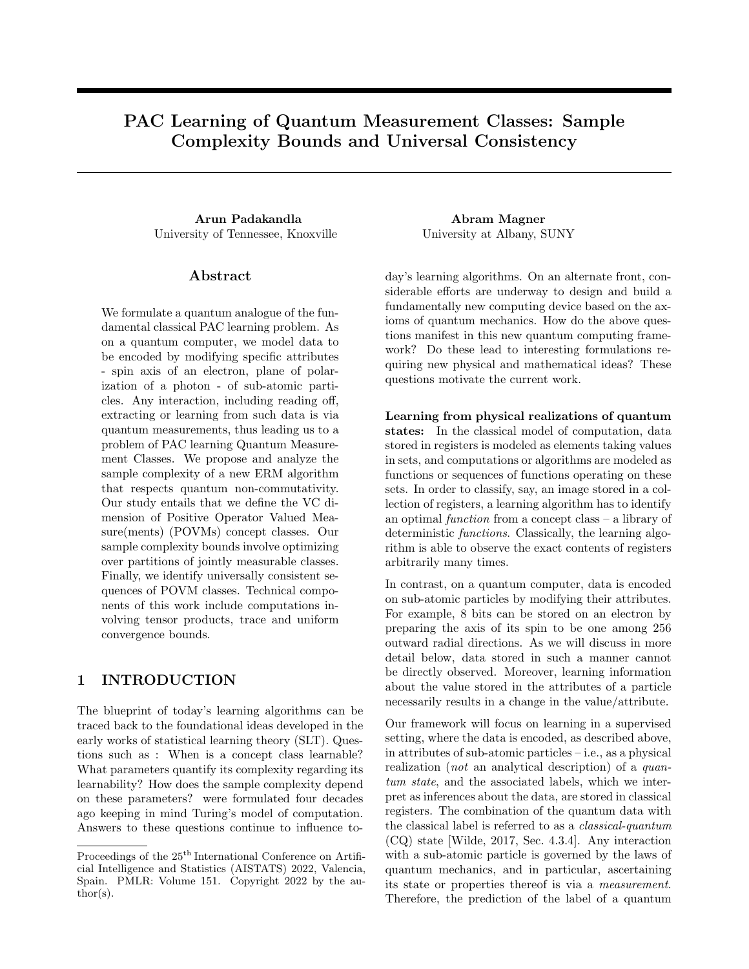# PAC Learning of Quantum Measurement Classes: Sample Complexity Bounds and Universal Consistency

Arun Padakandla Abram Magner University of Tennessee, Knoxville University at Albany, SUNY

## Abstract

We formulate a quantum analogue of the fundamental classical PAC learning problem. As on a quantum computer, we model data to be encoded by modifying specific attributes - spin axis of an electron, plane of polarization of a photon - of sub-atomic particles. Any interaction, including reading off, extracting or learning from such data is via quantum measurements, thus leading us to a problem of PAC learning Quantum Measurement Classes. We propose and analyze the sample complexity of a new ERM algorithm that respects quantum non-commutativity. Our study entails that we define the VC dimension of Positive Operator Valued Measure(ments) (POVMs) concept classes. Our sample complexity bounds involve optimizing over partitions of jointly measurable classes. Finally, we identify universally consistent sequences of POVM classes. Technical components of this work include computations involving tensor products, trace and uniform convergence bounds.

## 1 INTRODUCTION

The blueprint of today's learning algorithms can be traced back to the foundational ideas developed in the early works of statistical learning theory (SLT). Questions such as : When is a concept class learnable? What parameters quantify its complexity regarding its learnability? How does the sample complexity depend on these parameters? were formulated four decades ago keeping in mind Turing's model of computation. Answers to these questions continue to influence to-

day's learning algorithms. On an alternate front, considerable efforts are underway to design and build a fundamentally new computing device based on the axioms of quantum mechanics. How do the above questions manifest in this new quantum computing framework? Do these lead to interesting formulations requiring new physical and mathematical ideas? These questions motivate the current work.

Learning from physical realizations of quantum states: In the classical model of computation, data stored in registers is modeled as elements taking values in sets, and computations or algorithms are modeled as functions or sequences of functions operating on these sets. In order to classify, say, an image stored in a collection of registers, a learning algorithm has to identify an optimal function from a concept class – a library of deterministic functions. Classically, the learning algorithm is able to observe the exact contents of registers arbitrarily many times.

In contrast, on a quantum computer, data is encoded on sub-atomic particles by modifying their attributes. For example, 8 bits can be stored on an electron by preparing the axis of its spin to be one among 256 outward radial directions. As we will discuss in more detail below, data stored in such a manner cannot be directly observed. Moreover, learning information about the value stored in the attributes of a particle necessarily results in a change in the value/attribute.

Our framework will focus on learning in a supervised setting, where the data is encoded, as described above, in attributes of sub-atomic particles – i.e., as a physical realization (not an analytical description) of a quantum state, and the associated labels, which we interpret as inferences about the data, are stored in classical registers. The combination of the quantum data with the classical label is referred to as a classical-quantum (CQ) state [Wilde, 2017, Sec. 4.3.4]. Any interaction with a sub-atomic particle is governed by the laws of quantum mechanics, and in particular, ascertaining its state or properties thereof is via a measurement. Therefore, the prediction of the label of a quantum

Proceedings of the  $25<sup>th</sup>$  International Conference on Artificial Intelligence and Statistics (AISTATS) 2022, Valencia, Spain. PMLR: Volume 151. Copyright 2022 by the au- $\text{thor}(s)$ .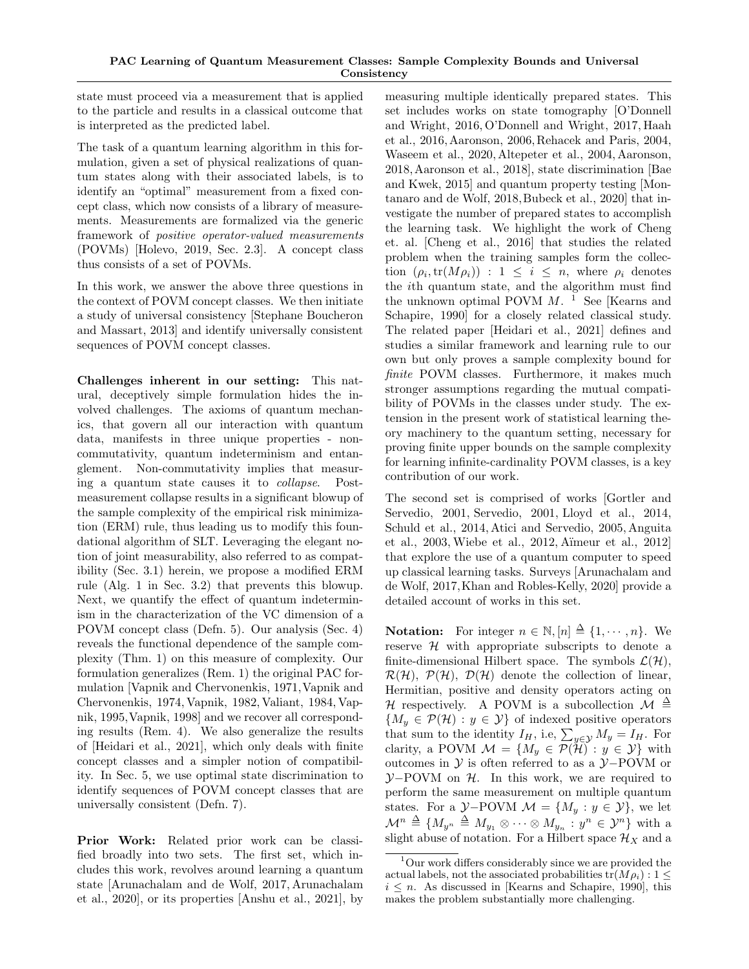state must proceed via a measurement that is applied to the particle and results in a classical outcome that is interpreted as the predicted label.

The task of a quantum learning algorithm in this formulation, given a set of physical realizations of quantum states along with their associated labels, is to identify an "optimal" measurement from a fixed concept class, which now consists of a library of measurements. Measurements are formalized via the generic framework of positive operator-valued measurements (POVMs) [Holevo, 2019, Sec. 2.3]. A concept class thus consists of a set of POVMs.

In this work, we answer the above three questions in the context of POVM concept classes. We then initiate a study of universal consistency [Stephane Boucheron and Massart, 2013] and identify universally consistent sequences of POVM concept classes.

Challenges inherent in our setting: This natural, deceptively simple formulation hides the involved challenges. The axioms of quantum mechanics, that govern all our interaction with quantum data, manifests in three unique properties - noncommutativity, quantum indeterminism and entanglement. Non-commutativity implies that measuring a quantum state causes it to collapse. Postmeasurement collapse results in a significant blowup of the sample complexity of the empirical risk minimization (ERM) rule, thus leading us to modify this foundational algorithm of SLT. Leveraging the elegant notion of joint measurability, also referred to as compatibility (Sec. 3.1) herein, we propose a modified ERM rule (Alg. 1 in Sec. 3.2) that prevents this blowup. Next, we quantify the effect of quantum indeterminism in the characterization of the VC dimension of a POVM concept class (Defn. 5). Our analysis (Sec. 4) reveals the functional dependence of the sample complexity (Thm. 1) on this measure of complexity. Our formulation generalizes (Rem. 1) the original PAC formulation [Vapnik and Chervonenkis, 1971,Vapnik and Chervonenkis, 1974, Vapnik, 1982, Valiant, 1984, Vapnik, 1995,Vapnik, 1998] and we recover all corresponding results (Rem. 4). We also generalize the results of [Heidari et al., 2021], which only deals with finite concept classes and a simpler notion of compatibility. In Sec. 5, we use optimal state discrimination to identify sequences of POVM concept classes that are universally consistent (Defn. 7).

Prior Work: Related prior work can be classified broadly into two sets. The first set, which includes this work, revolves around learning a quantum state [Arunachalam and de Wolf, 2017, Arunachalam et al., 2020], or its properties [Anshu et al., 2021], by measuring multiple identically prepared states. This set includes works on state tomography [O'Donnell and Wright, 2016, O'Donnell and Wright, 2017, Haah et al., 2016, Aaronson, 2006, Rehacek and Paris, 2004, Waseem et al., 2020, Altepeter et al., 2004, Aaronson, 2018,Aaronson et al., 2018], state discrimination [Bae and Kwek, 2015] and quantum property testing [Montanaro and de Wolf, 2018,Bubeck et al., 2020] that investigate the number of prepared states to accomplish the learning task. We highlight the work of Cheng et. al. [Cheng et al., 2016] that studies the related problem when the training samples form the collection  $(\rho_i, \text{tr}(M\rho_i))$ :  $1 \leq i \leq n$ , where  $\rho_i$  denotes the ith quantum state, and the algorithm must find the unknown optimal POVM  $M$ . <sup>1</sup> See [Kearns and Schapire, 1990] for a closely related classical study. The related paper [Heidari et al., 2021] defines and studies a similar framework and learning rule to our own but only proves a sample complexity bound for finite POVM classes. Furthermore, it makes much stronger assumptions regarding the mutual compatibility of POVMs in the classes under study. The extension in the present work of statistical learning theory machinery to the quantum setting, necessary for proving finite upper bounds on the sample complexity for learning infinite-cardinality POVM classes, is a key contribution of our work.

The second set is comprised of works [Gortler and Servedio, 2001, Servedio, 2001, Lloyd et al., 2014, Schuld et al., 2014, Atici and Servedio, 2005, Anguita et al., 2003, Wiebe et al., 2012, A¨ımeur et al., 2012] that explore the use of a quantum computer to speed up classical learning tasks. Surveys [Arunachalam and de Wolf, 2017,Khan and Robles-Kelly, 2020] provide a detailed account of works in this set.

**Notation:** For integer  $n \in \mathbb{N}, [n] \triangleq \{1, \dots, n\}$ . We reserve  $H$  with appropriate subscripts to denote a finite-dimensional Hilbert space. The symbols  $\mathcal{L}(\mathcal{H})$ ,  $\mathcal{R}(\mathcal{H})$ ,  $\mathcal{P}(\mathcal{H})$ ,  $\mathcal{D}(\mathcal{H})$  denote the collection of linear, Hermitian, positive and density operators acting on H respectively. A POVM is a subcollection  $\mathcal{M} \triangleq$  ${M_y \in \mathcal{P}(\mathcal{H}) : y \in \mathcal{Y}}$  of indexed positive operators that sum to the identity  $I_H$ , i.e,  $\sum_{y \in \mathcal{Y}} M_y = I_H$ . For clarity, a POVM  $\mathcal{M} = \{M_y \in \overline{\mathcal{P}(\mathcal{H})} : y \in \mathcal{Y}\}\$  with outcomes in Y is often referred to as a Y−POVM or  $Y-POVM$  on  $H$ . In this work, we are required to perform the same measurement on multiple quantum states. For a  $\mathcal{Y}-P\text{OVM }\mathcal{M} = \{M_y : y \in \mathcal{Y}\}\text{, we let}$  $\mathcal{M}^n \triangleq \{M_{y^n} \triangleq M_{y_1} \otimes \cdots \otimes M_{y_n} : y^n \in \mathcal{Y}^n\}$  with a slight abuse of notation. For a Hilbert space  $\mathcal{H}_X$  and a

<sup>&</sup>lt;sup>1</sup>Our work differs considerably since we are provided the actual labels, not the associated probabilities  $tr(M \rho_i) : 1 \leq$  $i \leq n$ . As discussed in [Kearns and Schapire, 1990], this makes the problem substantially more challenging.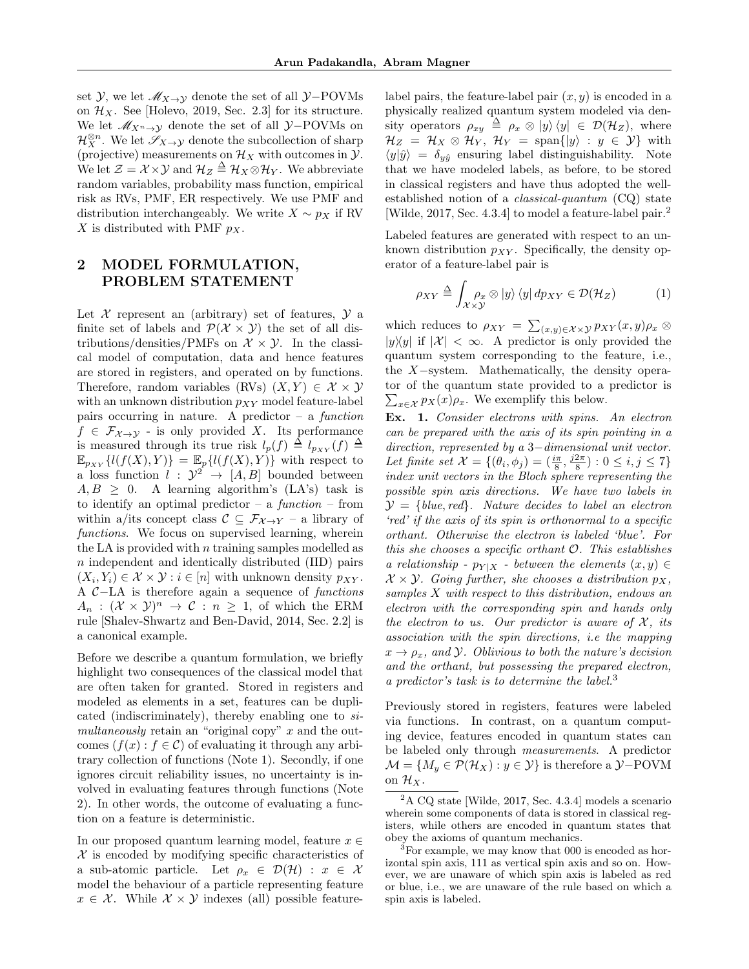set  $\mathcal{Y}$ , we let  $\mathcal{M}_{X\to Y}$  denote the set of all  $\mathcal{Y}-POVMs$ on  $\mathcal{H}_X$ . See [Holevo, 2019, Sec. 2.3] for its structure. We let  $\mathcal{M}_{X^n \to Y}$  denote the set of all  $\mathcal{Y}-\text{POVMs}$  on  $\mathcal{H}_X^{\otimes n}$ . We let  $\mathscr{S}_{X\to Y}$  denote the subcollection of sharp (projective) measurements on  $\mathcal{H}_X$  with outcomes in  $\mathcal{Y}$ . We let  $\mathcal{Z} = \mathcal{X} \times \mathcal{Y}$  and  $\mathcal{H}_Z \triangleq \mathcal{H}_X \otimes \mathcal{H}_Y$ . We abbreviate random variables, probability mass function, empirical risk as RVs, PMF, ER respectively. We use PMF and distribution interchangeably. We write  $X \sim p_X$  if RV X is distributed with PMF  $p_X$ .

## 2 MODEL FORMULATION, PROBLEM STATEMENT

Let  $\mathcal X$  represent an (arbitrary) set of features,  $\mathcal Y$  a finite set of labels and  $\mathcal{P}(\mathcal{X} \times \mathcal{Y})$  the set of all distributions/densities/PMFs on  $\mathcal{X} \times \mathcal{Y}$ . In the classical model of computation, data and hence features are stored in registers, and operated on by functions. Therefore, random variables (RVs)  $(X, Y) \in \mathcal{X} \times \mathcal{Y}$ with an unknown distribution  $p_{XY}$  model feature-label pairs occurring in nature. A predictor  $-$  a function  $f \in \mathcal{F}_{\mathcal{X} \to \mathcal{Y}}$  - is only provided X. Its performance is measured through its true risk  $l_p(f) \triangleq l_{p_{XY}}(f) \triangleq$  $\mathbb{E}_{p_{XY}}\{l(f(X),Y)\} = \mathbb{E}_p\{l(f(X),Y)\}\$  with respect to a loss function  $l : \mathcal{Y}^2 \to [A, B]$  bounded between  $A, B \geq 0$ . A learning algorithm's (LA's) task is to identify an optimal predictor  $-$  a function  $-$  from within a/its concept class  $C \subseteq \mathcal{F}_{\mathcal{X} \to Y}$  – a library of functions. We focus on supervised learning, wherein the LA is provided with  $n$  training samples modelled as n independent and identically distributed (IID) pairs  $(X_i, Y_i) \in \mathcal{X} \times \mathcal{Y} : i \in [n]$  with unknown density  $p_{XY}$ . A C−LA is therefore again a sequence of functions  $A_n$ :  $(\mathcal{X} \times \mathcal{Y})^n \to \mathcal{C}$ :  $n \geq 1$ , of which the ERM rule [Shalev-Shwartz and Ben-David, 2014, Sec. 2.2] is a canonical example.

Before we describe a quantum formulation, we briefly highlight two consequences of the classical model that are often taken for granted. Stored in registers and modeled as elements in a set, features can be duplicated (indiscriminately), thereby enabling one to  $si$ multaneously retain an "original copy"  $x$  and the outcomes  $(f(x) : f \in \mathcal{C})$  of evaluating it through any arbitrary collection of functions (Note 1). Secondly, if one ignores circuit reliability issues, no uncertainty is involved in evaluating features through functions (Note 2). In other words, the outcome of evaluating a function on a feature is deterministic.

In our proposed quantum learning model, feature  $x \in$  $X$  is encoded by modifying specific characteristics of a sub-atomic particle. Let  $\rho_x \in \mathcal{D}(\mathcal{H}) : x \in \mathcal{X}$ model the behaviour of a particle representing feature  $x \in \mathcal{X}$ . While  $\mathcal{X} \times \mathcal{Y}$  indexes (all) possible feature-

label pairs, the feature-label pair  $(x, y)$  is encoded in a physically realized quantum system modeled via density operators  $\rho_{xy} \triangleq \rho_x \otimes |y\rangle \langle y| \in \mathcal{D}(\mathcal{H}_Z)$ , where  $\mathcal{H}_Z = \mathcal{H}_X \otimes \mathcal{H}_Y$ ,  $\mathcal{H}_Y = \text{span}\{|y\rangle : y \in \mathcal{Y}\}\$  with  $\langle y|\hat{y}\rangle = \delta_{y\hat{y}}$  ensuring label distinguishability. Note that we have modeled labels, as before, to be stored in classical registers and have thus adopted the wellestablished notion of a classical-quantum (CQ) state [Wilde, 2017, Sec. 4.3.4] to model a feature-label pair.<sup>2</sup>

Labeled features are generated with respect to an unknown distribution  $p_{XY}$ . Specifically, the density operator of a feature-label pair is

$$
\rho_{XY} \stackrel{\Delta}{=} \int_{\mathcal{X} \times \mathcal{Y}} \rho_x \otimes |y\rangle \langle y| \, dp_{XY} \in \mathcal{D}(\mathcal{H}_Z) \tag{1}
$$

which reduces to  $\rho_{XY} = \sum_{(x,y)\in \mathcal{X}\times \mathcal{Y}} p_{XY}(x,y) \rho_x \otimes$  $|y\rangle\langle y|$  if  $|\mathcal{X}| < \infty$ . A predictor is only provided the quantum system corresponding to the feature, i.e., the X−system. Mathematically, the density operator of the quantum state provided to a predictor is  $\sum_{x \in \mathcal{X}} p_X(x) \rho_x$ . We exemplify this below.

Ex. 1. Consider electrons with spins. An electron can be prepared with the axis of its spin pointing in a direction, represented by a 3−dimensional unit vector. Let finite set  $\mathcal{X} = \{(\theta_i, \phi_j) = (\frac{i\pi}{8}, \frac{j2\pi}{8}) : 0 \le i, j \le 7\}$ index unit vectors in the Bloch sphere representing the possible spin axis directions. We have two labels in  $\mathcal{Y} = \{blue, red\}$ . Nature decides to label an electron 'red' if the axis of its spin is orthonormal to a specific orthant. Otherwise the electron is labeled 'blue'. For this she chooses a specific orthant O. This establishes a relationship -  $p_{Y|X}$  - between the elements  $(x, y) \in$  $X \times Y$ . Going further, she chooses a distribution  $p_X$ , samples X with respect to this distribution, endows an electron with the corresponding spin and hands only the electron to us. Our predictor is aware of  $\mathcal{X}$ , its association with the spin directions, i.e the mapping  $x \rightarrow \rho_x$ , and *y*. Oblivious to both the nature's decision and the orthant, but possessing the prepared electron, a predictor's task is to determine the label.<sup>3</sup>

Previously stored in registers, features were labeled via functions. In contrast, on a quantum computing device, features encoded in quantum states can be labeled only through measurements. A predictor  $\mathcal{M} = \{M_y \in \mathcal{P}(\mathcal{H}_X) : y \in \mathcal{Y}\}\$ is therefore a  $\mathcal{Y}$ -POVM on  $\mathcal{H}_X$ .

 $2^2$ A CQ state [Wilde, 2017, Sec. 4.3.4] models a scenario wherein some components of data is stored in classical registers, while others are encoded in quantum states that obey the axioms of quantum mechanics.

<sup>&</sup>lt;sup>3</sup>For example, we may know that 000 is encoded as horizontal spin axis, 111 as vertical spin axis and so on. However, we are unaware of which spin axis is labeled as red or blue, i.e., we are unaware of the rule based on which a spin axis is labeled.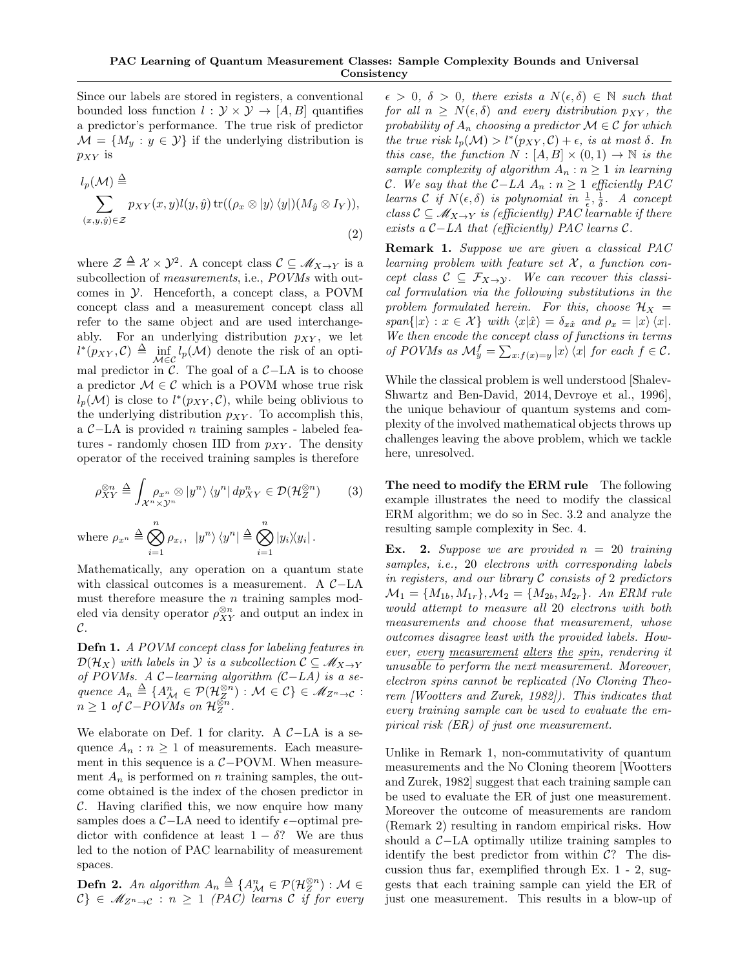Since our labels are stored in registers, a conventional bounded loss function  $l : \mathcal{Y} \times \mathcal{Y} \rightarrow [A, B]$  quantifies a predictor's performance. The true risk of predictor  $\mathcal{M} = \{M_y : y \in \mathcal{Y}\}\$ if the underlying distribution is  $p_{XY}$  is

$$
l_p(\mathcal{M}) \triangleq \sum_{(x,y,\hat{y}) \in \mathcal{Z}} p_{XY}(x,y) l(y,\hat{y}) \operatorname{tr}((\rho_x \otimes |y\rangle \langle y|)(M_{\hat{y}} \otimes I_Y)),
$$
\n(2)

where  $\mathcal{Z} \triangleq \mathcal{X} \times \mathcal{Y}^2$ . A concept class  $\mathcal{C} \subseteq \mathscr{M}_{X \to Y}$  is a subcollection of *measurements*, i.e., POVMs with outcomes in Y. Henceforth, a concept class, a POVM concept class and a measurement concept class all refer to the same object and are used interchangeably. For an underlying distribution  $p_{XY}$ , we let  $l^*(p_{XY}, \mathcal{C}) \triangleq \inf_{\mathcal{M} \in \mathcal{C}} l_p(\mathcal{M})$  denote the risk of an optimal predictor in  $\mathcal{C}$ . The goal of a  $\mathcal{C}-LA$  is to choose a predictor  $\mathcal{M} \in \mathcal{C}$  which is a POVM whose true risk  $l_p(\mathcal{M})$  is close to  $l^*(p_{XY}, \mathcal{C})$ , while being oblivious to the underlying distribution  $p_{XY}$ . To accomplish this, a C−LA is provided n training samples - labeled features - randomly chosen IID from  $p_{XY}$ . The density operator of the received training samples is therefore

$$
\rho_{XY}^{\otimes n} \triangleq \int_{\mathcal{X}^n \times \mathcal{Y}^n} \rho_{x^n} \otimes |y^n\rangle \langle y^n| \, dp_{XY}^n \in \mathcal{D}(\mathcal{H}_Z^{\otimes n}) \qquad (3)
$$

where  $\rho_{x^n} \triangleq \bigotimes^n$  $i=1$  $\rho_{x_i},\;\;|y^n\rangle\,\langle y^n|\stackrel{\Delta}{=}\bigotimes^n$  $i=1$  $|y_i\rangle\langle y_i|$ .

Mathematically, any operation on a quantum state with classical outcomes is a measurement. A C−LA must therefore measure the  $n$  training samples modeled via density operator  $\rho_{XY}^{\otimes n}$  and output an index in  $\mathcal{C}.$ 

Defn 1. A POVM concept class for labeling features in  $\mathcal{D}(\mathcal{H}_X)$  with labels in Y is a subcollection  $\mathcal{C} \subseteq \mathscr{M}_{X \to Y}$ of POVMs. A C−learning algorithm (C−LA) is a sequence  $A_n \triangleq \{A_{\mathcal{M}}^n \in \mathcal{P}(\mathcal{H}_{Z}^{\otimes n}) : \mathcal{M} \in \mathcal{C}\}\in \mathcal{M}_{Z^n \to \mathcal{C}}:$  $n \geq 1$  of  $C-POVMs$  on  $\mathcal{H}_Z^{\otimes n}$ .

We elaborate on Def. 1 for clarity. A  $\mathcal{C}-LA$  is a sequence  $A_n : n \geq 1$  of measurements. Each measurement in this sequence is a  $C-POVM$ . When measurement  $A_n$  is performed on n training samples, the outcome obtained is the index of the chosen predictor in  $C$ . Having clarified this, we now enquire how many samples does a  $\mathcal{C}-LA$  need to identify  $\epsilon$ -optimal predictor with confidence at least  $1 - \delta$ ? We are thus led to the notion of PAC learnability of measurement spaces.

**Defn 2.** An algorithm  $A_n \triangleq \{A_{\mathcal{M}}^n \in \mathcal{P}(\mathcal{H}_{Z}^{\otimes n}) : \mathcal{M} \in \mathcal{M}\}$  $\mathcal{C}\}\in\mathscr{M}_{Z^n\to\mathcal{C}}:n\geq 1$  (PAC) learns C if for every

 $\epsilon > 0, \delta > 0$ , there exists a  $N(\epsilon, \delta) \in \mathbb{N}$  such that for all  $n \geq N(\epsilon, \delta)$  and every distribution  $p_{XY}$ , the probability of  $A_n$  choosing a predictor  $\mathcal{M} \in \mathcal{C}$  for which the true risk  $l_p(\mathcal{M}) > l^*(p_{XY}, \mathcal{C}) + \epsilon$ , is at most  $\delta$ . In this case, the function  $N : [A, B] \times (0, 1) \rightarrow \mathbb{N}$  is the sample complexity of algorithm  $A_n : n \geq 1$  in learning C. We say that the C−LA  $A_n$ :  $n \geq 1$  efficiently PAC learns  $C$  if  $N(\epsilon, \delta)$  is polynomial in  $\frac{1}{\epsilon}, \frac{1}{\delta}$ . A concept class  $C \subseteq \mathcal{M}_{X \to Y}$  is (efficiently) PAC learnable if there exists a  $C-LA$  that (efficiently) PAC learns  $\mathcal{C}$ .

Remark 1. Suppose we are given a classical PAC learning problem with feature set  $X$ , a function concept class  $C \subseteq \mathcal{F}_{X\to Y}$ . We can recover this classical formulation via the following substitutions in the problem formulated herein. For this, choose  $\mathcal{H}_X$  =  $span\{|x\rangle : x \in \mathcal{X}\}\$  with  $\langle x|\hat{x}\rangle = \delta_{x\hat{x}}$  and  $\rho_x = |x\rangle \langle x|.$ We then encode the concept class of functions in terms of POVMs as  $\mathcal{M}_y^f = \sum_{x:f(x)=y} |x\rangle \langle x|$  for each  $f \in \mathcal{C}$ .

While the classical problem is well understood [Shalev-Shwartz and Ben-David, 2014, Devroye et al., 1996], the unique behaviour of quantum systems and complexity of the involved mathematical objects throws up challenges leaving the above problem, which we tackle here, unresolved.

The need to modify the ERM rule The following example illustrates the need to modify the classical ERM algorithm; we do so in Sec. 3.2 and analyze the resulting sample complexity in Sec. 4.

Ex. 2. Suppose we are provided  $n = 20$  training samples, i.e., 20 electrons with corresponding labels in registers, and our library  $C$  consists of 2 predictors  $\mathcal{M}_1 = \{M_{1b}, M_{1r}\}, \mathcal{M}_2 = \{M_{2b}, M_{2r}\}.$  An ERM rule would attempt to measure all 20 electrons with both measurements and choose that measurement, whose outcomes disagree least with the provided labels. However, every measurement alters the spin, rendering it  $unusable$  to perform the next measurement. Moreover, electron spins cannot be replicated (No Cloning Theorem [Wootters and Zurek, 1982]). This indicates that every training sample can be used to evaluate the empirical risk (ER) of just one measurement.

Unlike in Remark 1, non-commutativity of quantum measurements and the No Cloning theorem [Wootters and Zurek, 1982] suggest that each training sample can be used to evaluate the ER of just one measurement. Moreover the outcome of measurements are random (Remark 2) resulting in random empirical risks. How should a C−LA optimally utilize training samples to identify the best predictor from within  $C$ ? The discussion thus far, exemplified through Ex. 1 - 2, suggests that each training sample can yield the ER of just one measurement. This results in a blow-up of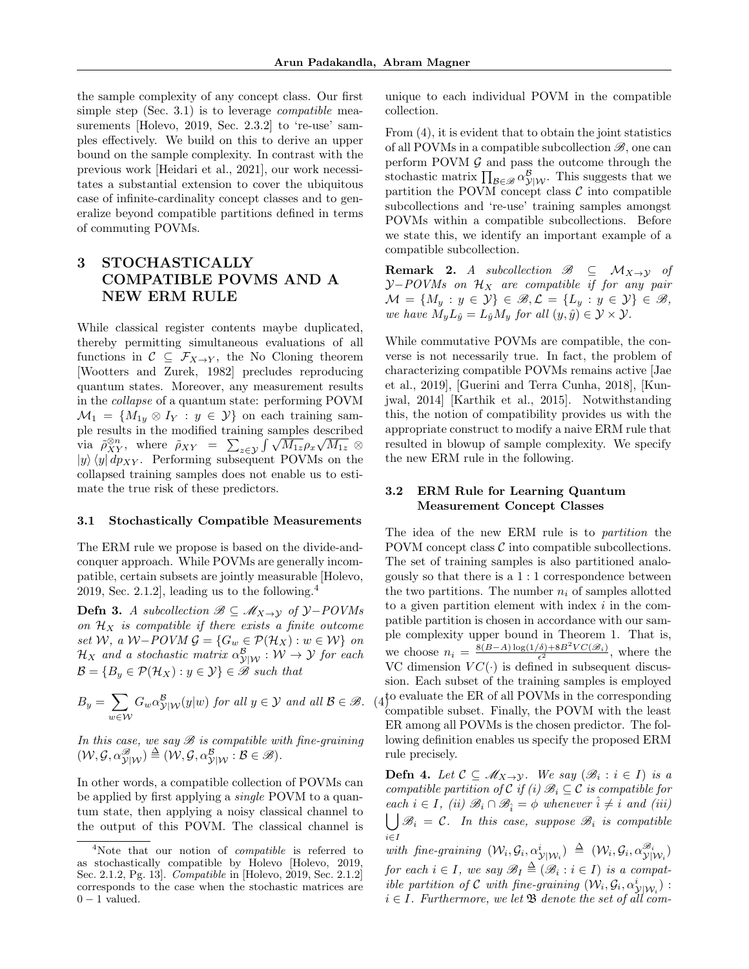the sample complexity of any concept class. Our first simple step (Sec. 3.1) is to leverage compatible measurements [Holevo, 2019, Sec. 2.3.2] to 're-use' samples effectively. We build on this to derive an upper bound on the sample complexity. In contrast with the previous work [Heidari et al., 2021], our work necessitates a substantial extension to cover the ubiquitous case of infinite-cardinality concept classes and to generalize beyond compatible partitions defined in terms of commuting POVMs.

# 3 STOCHASTICALLY COMPATIBLE POVMS AND A NEW ERM RULE

While classical register contents maybe duplicated, thereby permitting simultaneous evaluations of all functions in  $C \subseteq \mathcal{F}_{X\to Y}$ , the No Cloning theorem [Wootters and Zurek, 1982] precludes reproducing quantum states. Moreover, any measurement results in the collapse of a quantum state: performing POVM  $\mathcal{M}_1 = \{M_{1y} \otimes I_Y : y \in \mathcal{Y}\}\$  on each training sample results in the modified training samples described ple results in the modified training samples described<br>via  $\tilde{\rho}_{XY}^{on}$ , where  $\tilde{\rho}_{XY} = \sum_{z \in \mathcal{Y}} \int \sqrt{M_{1z}} \rho_x \sqrt{M_{1z}}$  $|y\rangle \langle y| \, d p_{XY}$ . Performing subsequent POVMs on the collapsed training samples does not enable us to estimate the true risk of these predictors.

### 3.1 Stochastically Compatible Measurements

The ERM rule we propose is based on the divide-andconquer approach. While POVMs are generally incompatible, certain subsets are jointly measurable [Holevo, 2019, Sec. 2.1.2, leading us to the following. $4$ 

**Defn 3.** A subcollection  $\mathcal{B} \subseteq \mathcal{M}_{X\to Y}$  of  $\mathcal{Y}-POVMs$ on  $\mathcal{H}_X$  is compatible if there exists a finite outcome set W, a W−POVM  $\mathcal{G} = \{G_w \in \mathcal{P}(\mathcal{H}_X) : w \in \mathcal{W}\}\$ on  $\mathcal{H}_X$  and a stochastic matrix  $\alpha_{\mathcal{Y}|\mathcal{W}}^\mathcal{B}:\mathcal{W}\to\mathcal{Y}$  for each  $\mathcal{B} = \{B_y \in \mathcal{P}(\mathcal{H}_X) : y \in \mathcal{Y}\}\in \mathcal{B}$  such that

$$
B_y = \sum_{w \in \mathcal{W}} G_w \alpha_{\mathcal{Y}|\mathcal{W}}^{\mathcal{B}}(y|w) \text{ for all } y \in \mathcal{Y} \text{ and all } \mathcal{B} \in \mathcal{B}. \tag{4}
$$

In this case, we say  $\mathscr B$  is compatible with fine-graining  $(\mathcal{W}, \mathcal{G}, \alpha_{\mathcal{Y}|\mathcal{W}}^{\mathscr{B}}) \triangleq (\mathcal{W}, \mathcal{G}, \alpha_{\mathcal{Y}|\mathcal{W}}^{\mathscr{B}}: \mathcal{B} \in \mathscr{B}).$ 

In other words, a compatible collection of POVMs can be applied by first applying a *single* POVM to a quantum state, then applying a noisy classical channel to the output of this POVM. The classical channel is unique to each individual POVM in the compatible collection.

From (4), it is evident that to obtain the joint statistics of all POVMs in a compatible subcollection  $\mathscr{B}$ , one can perform POVM  $G$  and pass the outcome through the stochastic matrix  $\prod_{\mathcal{B}\in\mathscr{B}}\alpha_{\mathcal{Y}|\mathcal{W}}^{\mathcal{B}}$ . This suggests that we partition the POVM concept class  $\mathcal C$  into compatible subcollections and 're-use' training samples amongst POVMs within a compatible subcollections. Before we state this, we identify an important example of a compatible subcollection.

**Remark 2.** A subcollection  $\mathscr{B} \subseteq \mathcal{M}_{X \to Y}$  of  $Y-POVMs$  on  $H_X$  are compatible if for any pair  $\mathcal{M} = \{M_y : y \in \mathcal{Y}\}\in \mathcal{B}, \mathcal{L} = \{L_y : y \in \mathcal{Y}\}\in \mathcal{B},$ we have  $M_u L_{\hat{u}} = L_{\hat{u}} M_u$  for all  $(y, \hat{y}) \in \mathcal{Y} \times \mathcal{Y}$ .

While commutative POVMs are compatible, the converse is not necessarily true. In fact, the problem of characterizing compatible POVMs remains active [Jae et al., 2019], [Guerini and Terra Cunha, 2018], [Kunjwal, 2014] [Karthik et al., 2015]. Notwithstanding this, the notion of compatibility provides us with the appropriate construct to modify a naive ERM rule that resulted in blowup of sample complexity. We specify the new ERM rule in the following.

## 3.2 ERM Rule for Learning Quantum Measurement Concept Classes

The idea of the new ERM rule is to partition the POVM concept class  $\mathcal C$  into compatible subcollections. The set of training samples is also partitioned analogously so that there is a 1 : 1 correspondence between the two partitions. The number  $n_i$  of samples allotted to a given partition element with index  $i$  in the compatible partition is chosen in accordance with our sample complexity upper bound in Theorem 1. That is, we choose  $n_i = \frac{8(B-A)\log(1/\delta) + 8B^2VC(\mathcal{B}_i)}{\epsilon^2}$ , where the VC dimension  $VC(\cdot)$  is defined in subsequent discussion. Each subset of the training samples is employed  $(4)$ <sup>to evaluate the ER of all POVMs in the corresponding</sup> compatible subset. Finally, the POVM with the least ER among all POVMs is the chosen predictor. The following definition enables us specify the proposed ERM rule precisely.

**Defn 4.** Let  $C \subseteq M_{X\to Y}$ . We say  $(\mathcal{B}_i : i \in I)$  is a compatible partition of C if (i)  $\mathscr{B}_i \subseteq \mathcal{C}$  is compatible for each  $i \in I$ , (ii)  $\mathscr{B}_i \cap \mathscr{B}_i = \phi$  whenever  $\hat{i} \neq i$  and (iii)  $\bigcup \mathscr{B}_i = \mathcal{C}$ . In this case, suppose  $\mathscr{B}_i$  is compatible i∈I

with fine-graining  $(\mathcal{W}_i, \mathcal{G}_i, \alpha^i_{\mathcal{Y}|\mathcal{W}_i}) \triangleq (\mathcal{W}_i, \mathcal{G}_i, \alpha^{\mathcal{B}_i}_{\mathcal{Y}|\mathcal{W}_i})$ for each  $i \in I$ , we say  $\mathscr{B}_I \triangleq (\mathscr{B}_i : i \in I)$  is a compatible partition of C with fine-graining  $(W_i, \mathcal{G}_i, \alpha^i_{\mathcal{Y}|W_i})$ :  $i \in I$ . Furthermore, we let  $\mathfrak{B}$  denote the set of all com-

<sup>&</sup>lt;sup>4</sup>Note that our notion of *compatible* is referred to as stochastically compatible by Holevo [Holevo, 2019, Sec. 2.1.2, Pg. 13]. Compatible in [Holevo, 2019, Sec. 2.1.2] corresponds to the case when the stochastic matrices are  $0 - 1$  valued.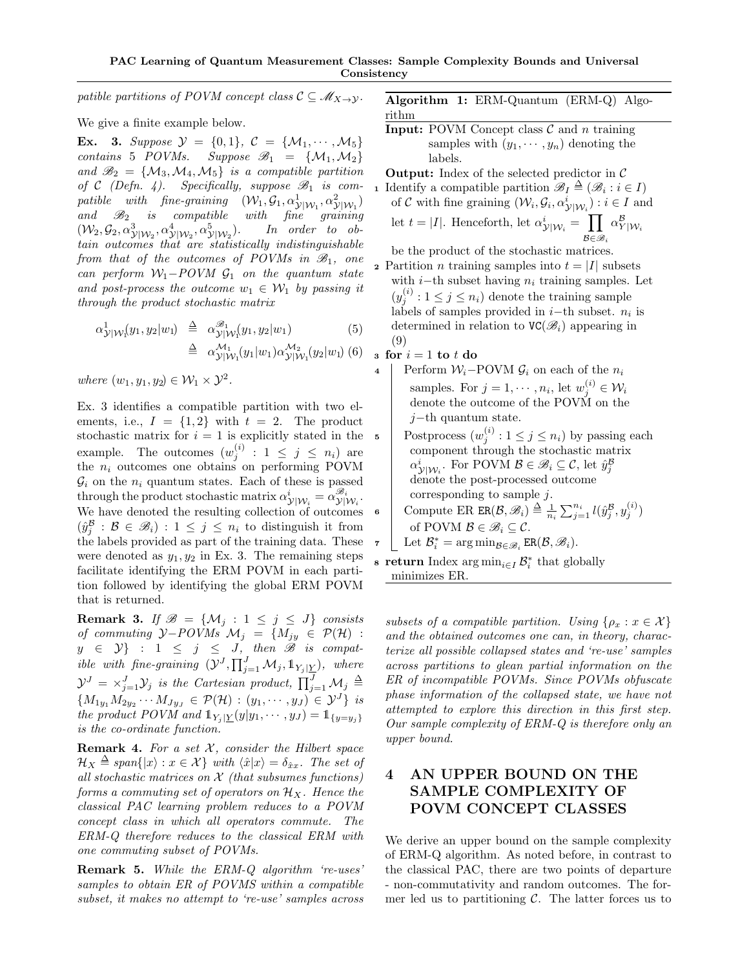patible partitions of POVM concept class  $\mathcal{C} \subseteq \mathcal{M}_{X \to Y}$ .

We give a finite example below.

**Ex.** 3. Suppose  $\mathcal{Y} = \{0, 1\}$ ,  $\mathcal{C} = \{\mathcal{M}_1, \cdots, \mathcal{M}_5\}$ contains 5 POVMs. Suppose  $\mathcal{B}_1 = \{M_1, M_2\}$ and  $\mathscr{B}_2 = \{M_3, M_4, M_5\}$  is a compatible partition of C (Defn. 4). Specifically, suppose  $\mathcal{B}_1$  is com- $\textit{path}\quad \textit{line-graining} \quad (\mathcal{W}_1,\mathcal{G}_1,\alpha^1_{\mathcal{Y}|\mathcal{W}_1},\alpha^2_{\mathcal{Y}|\mathcal{W}_1})$ and  $\mathscr{B}_2$  is compatible with fine graining  $(W_2, \mathcal{G}_2, \alpha^3_{\mathcal{Y}|W_2}, \alpha^4_{\mathcal{Y}|W_2}, \alpha^5_{\mathcal{Y}|W_2}).$  In order to obtain outcomes that are statistically indistinguishable from that of the outcomes of POVMs in  $\mathcal{B}_1$ , one can perform  $W_1$ -POVM  $G_1$  on the quantum state and post-process the outcome  $w_1 \in W_1$  by passing it through the product stochastic matrix

$$
\alpha_{\mathcal{Y}|\mathcal{W}_1}^1(y_1, y_2|w_1) \stackrel{\Delta}{=} \alpha_{\mathcal{Y}|\mathcal{W}_1}^{\mathcal{B}_1}(y_1, y_2|w_1)
$$
\n
$$
\stackrel{\Delta}{=} \alpha_{\mathcal{Y}|\mathcal{W}_1}^{\mathcal{M}_1}(y_1|w_1)\alpha_{\mathcal{Y}|\mathcal{W}_1}^{\mathcal{M}_2}(y_2|w_1)
$$
\n(5)

where  $(w_1, y_1, y_2) \in \mathcal{W}_1 \times \mathcal{Y}^2$ .

Ex. 3 identifies a compatible partition with two elements, i.e.,  $I = \{1, 2\}$  with  $t = 2$ . The product stochastic matrix for  $i = 1$  is explicitly stated in the example. The outcomes  $(w_j^{(i)} : 1 \le j \le n_i)$  are the  $n_i$  outcomes one obtains on performing POVM  $\mathcal{G}_i$  on the  $n_i$  quantum states. Each of these is passed through the product stochastic matrix  $\alpha_{\mathcal{Y}|\mathcal{W}_i}^i = \alpha_{\mathcal{Y}|\mathcal{W}_i}^{\mathscr{B}_i}$ . We have denoted the resulting collection of outcomes  $(\hat{y}_{j}^{\mathcal{B}} : \mathcal{B} \in \mathscr{B}_{i}) : 1 \leq j \leq n_{i}$  to distinguish it from the labels provided as part of the training data. These were denoted as  $y_1, y_2$  in Ex. 3. The remaining steps facilitate identifying the ERM POVM in each partition followed by identifying the global ERM POVM that is returned.

**Remark 3.** If  $\mathcal{B} = \{M_j : 1 \le j \le J\}$  consists of commuting  $\mathcal{Y}-POVMs$   $\mathcal{M}_j = \{M_{jy} \in \mathcal{P}(\mathcal{H})$ :  $y \in \mathcal{Y}$  :  $1 \leq j \leq J$ , then  $\mathscr{B}$  is compatible with fine-graining  $(\mathcal{Y}^J, \prod_{j=1}^J \mathcal{M}_j, \mathbb{1}_{Y_j \mid \underline{Y}})$ , where  $\mathcal{Y}^J = \times_{j=1}^J \mathcal{Y}_j$  is the Cartesian product,  $\prod_{j=1}^J \mathcal{M}_j \triangleq$  $\{M_{1y_1}M_{2y_2}\cdots M_{Jy_J}\in \mathcal{P}(\mathcal{H}) : (y_1,\cdots,y_J)\in \mathcal{Y}^J\}$  is the product POVM and  $\mathbb{1}_{Y_j | \underline{Y}}(y | y_1, \dots, y_J) = \mathbb{1}_{\{y=y_j\}}$ is the co-ordinate function.

**Remark 4.** For a set  $X$ , consider the Hilbert space  $\mathcal{H}_X \triangleq span\{|x\rangle : x \in \mathcal{X}\}\$  with  $\langle \hat{x}|x\rangle = \delta_{\hat{x}x}$ . The set of all stochastic matrices on  $\mathcal X$  (that subsumes functions) forms a commuting set of operators on  $\mathcal{H}_X$ . Hence the classical PAC learning problem reduces to a POVM concept class in which all operators commute. The ERM-Q therefore reduces to the classical ERM with one commuting subset of POVMs.

Remark 5. While the ERM-Q algorithm 're-uses' samples to obtain ER of POVMS within a compatible subset, it makes no attempt to 're-use' samples across

Algorithm 1: ERM-Quantum (ERM-Q) Algorithm

**Input:** POVM Concept class  $\mathcal{C}$  and n training samples with  $(y_1, \dots, y_n)$  denoting the labels.

**Output:** Index of the selected predictor in  $\mathcal{C}$ 

1 Identify a compatible partition 
$$
\mathscr{B}_I \triangleq (\mathscr{B}_i : i \in I)
$$
  
of *C* with fine graining  $(W_i, \mathcal{G}_i, \alpha^i_{\mathcal{Y}|W_i}) : i \in I$  and  
let  $t = |I|$ . Henceforth, let  $\alpha^i_{\mathcal{Y}|W_i} = \prod_{i} \alpha^{\mathcal{B}}_{Y|W_i}$ 

 $\mathcal{B} \in \mathscr{B}_i$ be the product of the stochastic matrices.

2 Partition *n* training samples into  $t = |I|$  subsets with  $i$ −th subset having  $n_i$  training samples. Let  $(y_j^{(i)}: 1 \leq j \leq n_i)$  denote the training sample labels of samples provided in  $i$ -th subset.  $n_i$  is determined in relation to  $VC(\mathcal{B}_i)$  appearing in (9)

3 for  $i = 1$  to t do

- Perform  $W_i$ -POVM  $\mathcal{G}_i$  on each of the  $n_i$ samples. For  $j = 1, \dots, n_i$ , let  $w_j^{(i)} \in \mathcal{W}_i$ denote the outcome of the POVM on the  $j$ −th quantum state.
- 5 Postprocess  $(w_j^{(i)} : 1 \le j \le n_i)$  by passing each component through the stochastic matrix  $\alpha^i_{\mathcal{Y}|\mathcal{W}_i}$ . For POVM  $\mathcal{B} \in \mathscr{B}_i \subseteq \mathcal{C}$ , let  $\hat{y}_j^{\mathcal{B}}$ denote the post-processed outcome corresponding to sample  $i$ .
- 6 Compute ER ER $(\mathcal{B}, \mathscr{B}_i) \triangleq \frac{1}{n_i} \sum_{j=1}^{n_i} l(\hat{y}_{j}^{\mathcal{B}}, y_j^{(i)})$ of POVM  $\mathcal{B} \in \mathscr{B}_i \subseteq \mathcal{C}$ .

$$
\tau \quad \boxed{\text{ Let } \mathcal{B}_i^* = \arg\min_{\mathcal{B} \in \mathscr{B}_i} \text{ER}(\mathcal{B}, \mathscr{B}_i)}.
$$

**• return** Index arg  $\min_{i \in I} \mathcal{B}_i^*$  that globally minimizes ER.

subsets of a compatible partition. Using  $\{\rho_x : x \in \mathcal{X}\}\$ and the obtained outcomes one can, in theory, characterize all possible collapsed states and 're-use' samples across partitions to glean partial information on the ER of incompatible POVMs. Since POVMs obfuscate phase information of the collapsed state, we have not attempted to explore this direction in this first step. Our sample complexity of ERM-Q is therefore only an upper bound.

# 4 AN UPPER BOUND ON THE SAMPLE COMPLEXITY OF POVM CONCEPT CLASSES

We derive an upper bound on the sample complexity of ERM-Q algorithm. As noted before, in contrast to the classical PAC, there are two points of departure - non-commutativity and random outcomes. The former led us to partitioning  $\mathcal{C}$ . The latter forces us to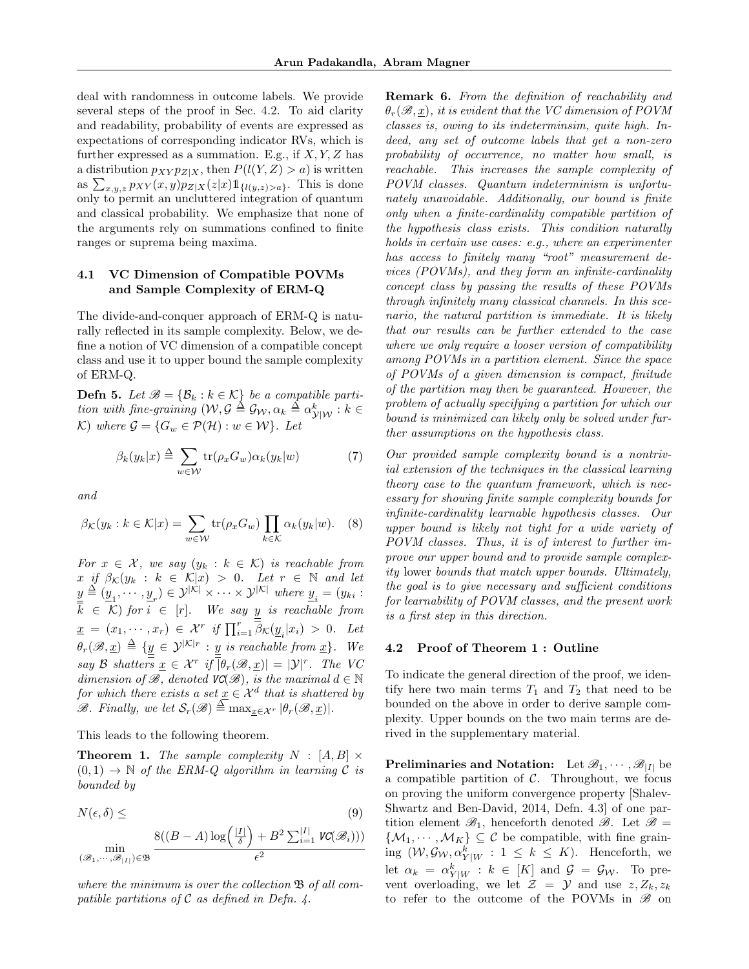deal with randomness in outcome labels. We provide several steps of the proof in Sec. 4.2. To aid clarity and readability, probability of events are expressed as expectations of corresponding indicator RVs, which is further expressed as a summation. E.g., if  $X, Y, Z$  has a distribution  $p_{XY} p_{Z|X}$ , then  $P(l(Y, Z) > a)$  is written as  $\sum_{x,y,z} p_{XY}(x,y) p_{Z|X}(z|x) 1\!\!1_{\{l(y,z)>a\}}$ . This is done only to permit an uncluttered integration of quantum and classical probability. We emphasize that none of the arguments rely on summations confined to finite ranges or suprema being maxima.

## 4.1 VC Dimension of Compatible POVMs and Sample Complexity of ERM-Q

The divide-and-conquer approach of ERM-Q is naturally reflected in its sample complexity. Below, we define a notion of VC dimension of a compatible concept class and use it to upper bound the sample complexity of ERM-Q.

**Defn 5.** Let  $\mathcal{B} = {\mathcal{B}_k : k \in \mathcal{K}}$  be a compatible partition with fine-graining  $(\mathcal{W}, \mathcal{G} \triangleq \mathcal{G}_{\mathcal{W}}, \alpha_k \triangleq \alpha_{\mathcal{Y}|\mathcal{W}}^k : k \in$ K) where  $\mathcal{G} = \{G_w \in \mathcal{P}(\mathcal{H}) : w \in \mathcal{W}\}\$ . Let

$$
\beta_k(y_k|x) \stackrel{\Delta}{=} \sum_{w \in \mathcal{W}} \text{tr}(\rho_x G_w) \alpha_k(y_k|w) \tag{7}
$$

and

$$
\beta_{\mathcal{K}}(y_k : k \in \mathcal{K}|x) = \sum_{w \in \mathcal{W}} \text{tr}(\rho_x G_w) \prod_{k \in \mathcal{K}} \alpha_k(y_k|w). \quad (8)
$$

For  $x \in \mathcal{X}$ , we say  $(y_k : k \in \mathcal{K})$  is reachable from x if  $\beta_{\mathcal{K}}(y_k : k \in \mathcal{K}|x) > 0$ . Let  $r \in \mathbb{N}$  and let  $\underline{y} \triangleq (\underline{y}_1, \cdots, \underline{y}_r) \in \mathcal{Y}^{|\mathcal{K}|} \times \cdots \times \mathcal{Y}^{|\mathcal{K}|}$  where  $\underline{y}_i = (y_{ki} :$  $\overline{k} \in K$ ) for  $i \in [r]$ . We say  $\underline{y}$  is reachable from  $\underline{x} = (x_1, \dots, x_r) \in \mathcal{X}^r$  if  $\prod_{i=1}^r \overline{\beta}_{\mathcal{K}}(\underline{y}_i | x_i) > 0$ . Let  $\theta_r(\mathscr{B}, \underline{x}) \triangleq \{y \in \mathcal{Y}^{|\mathcal{K}|r} : y \text{ is reachable from } \underline{x}\}.$  We say B shatters  $\underline{x} \in \mathcal{X}^r$  if  $\overline{\vert} \theta_r(\mathscr{B},\underline{x}) \vert = \vert \mathcal{Y} \vert^r$ . The VC dimension of  $\mathcal{B}$ , denoted  $\mathit{VC}(\mathcal{B})$ , is the maximal  $d \in \mathbb{N}$ for which there exists a set  $\underline{x} \in \mathcal{X}^d$  that is shattered by  $\mathscr{B}.$  Finally, we let  $\mathcal{S}_r(\mathscr{B}) \triangleq \max_{\underline{x} \in \mathcal{X}^r} |\theta_r(\mathscr{B}, \underline{x})|$ .

This leads to the following theorem.

**Theorem 1.** The sample complexity  $N : [A, B] \times$  $(0, 1) \rightarrow \mathbb{N}$  of the ERM-Q algorithm in learning C is bounded by

$$
N(\epsilon, \delta) \leq \tag{9}
$$

$$
\min_{(\mathscr B_1,\cdots,\mathscr B_{|I|})\in \mathfrak B}\frac{8((B-A)\log\Bigl(\frac{|I|}{\delta}\Bigr)+B^2\sum_{i=1}^{|I|}\mathit{VC}(\mathscr B_i)) )}{\epsilon^2}
$$

where the minimum is over the collection  $\mathfrak{B}$  of all compatible partitions of  $\mathcal C$  as defined in Defn. 4.

Remark 6. From the definition of reachability and  $\theta_r(\mathscr{B},x)$ , it is evident that the VC dimension of POVM classes is, owing to its indeterminsim, quite high. Indeed, any set of outcome labels that get a non-zero probability of occurrence, no matter how small, is reachable. This increases the sample complexity of POVM classes. Quantum indeterminism is unfortunately unavoidable. Additionally, our bound is finite only when a finite-cardinality compatible partition of the hypothesis class exists. This condition naturally holds in certain use cases: e.g., where an experimenter has access to finitely many "root" measurement devices (POVMs), and they form an infinite-cardinality concept class by passing the results of these POVMs through infinitely many classical channels. In this scenario, the natural partition is immediate. It is likely that our results can be further extended to the case where we only require a looser version of compatibility among POVMs in a partition element. Since the space of POVMs of a given dimension is compact, finitude of the partition may then be guaranteed. However, the problem of actually specifying a partition for which our bound is minimized can likely only be solved under further assumptions on the hypothesis class.

Our provided sample complexity bound is a nontrivial extension of the techniques in the classical learning theory case to the quantum framework, which is necessary for showing finite sample complexity bounds for infinite-cardinality learnable hypothesis classes. Our upper bound is likely not tight for a wide variety of POVM classes. Thus, it is of interest to further improve our upper bound and to provide sample complexity lower bounds that match upper bounds. Ultimately, the goal is to give necessary and sufficient conditions for learnability of POVM classes, and the present work is a first step in this direction.

#### 4.2 Proof of Theorem 1 : Outline

To indicate the general direction of the proof, we identify here two main terms  $T_1$  and  $T_2$  that need to be bounded on the above in order to derive sample complexity. Upper bounds on the two main terms are derived in the supplementary material.

**Preliminaries and Notation:** Let  $\mathscr{B}_1, \cdots, \mathscr{B}_{|I|}$  be a compatible partition of  $C$ . Throughout, we focus on proving the uniform convergence property [Shalev-Shwartz and Ben-David, 2014, Defn. 4.3] of one partition element  $\mathscr{B}_1$ , henceforth denoted  $\mathscr{B}$ . Let  $\mathscr{B} =$  $\{\mathcal{M}_1, \cdots, \mathcal{M}_K\} \subseteq \mathcal{C}$  be compatible, with fine graining  $(W, \mathcal{G}_W, \alpha_{Y|W}^k : 1 \leq k \leq K)$ . Henceforth, we let  $\alpha_k = \alpha_{Y|W}^k : k \in [K]$  and  $\mathcal{G} = \mathcal{G}_{\mathcal{W}}$ . To prevent overloading, we let  $\mathcal{Z} = \mathcal{Y}$  and use  $z, Z_k, z_k$ to refer to the outcome of the POVMs in  $\mathscr{B}$  on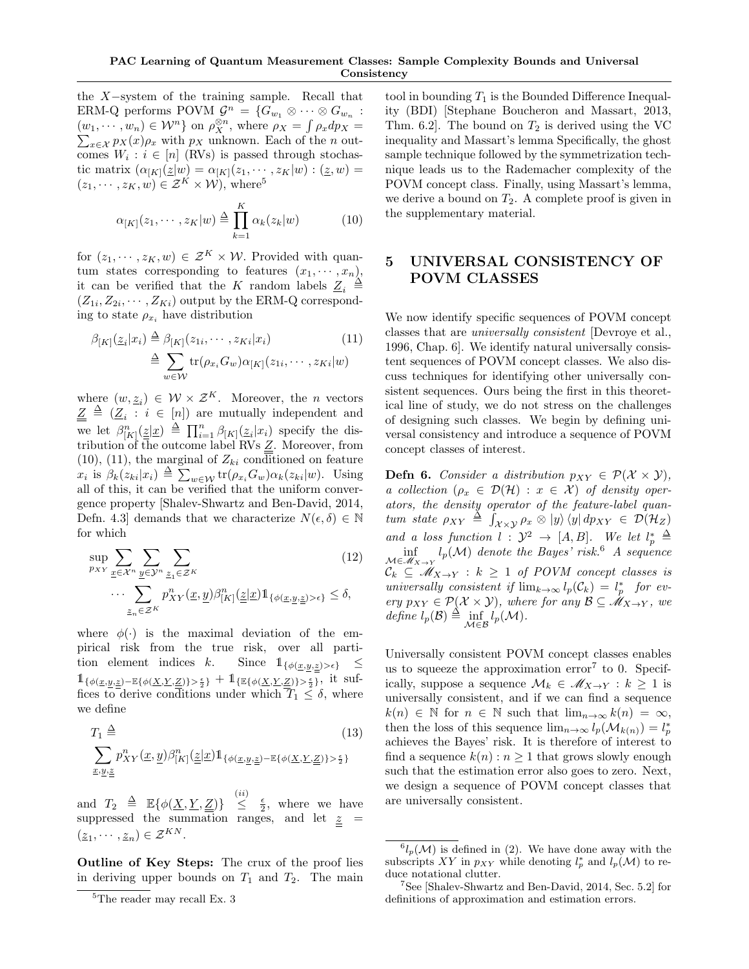the X−system of the training sample. Recall that ERM-Q performs POVM  $\mathcal{G}^n = \{G_{w_1} \otimes \cdots \otimes G_{w_n}$ :  $(w_1, \dots, w_n) \in \mathcal{W}^n$  on  $\rho_X^{\otimes n}$ , where  $\rho_X = \int \rho_x dp_X =$  $\sum_{x \in \mathcal{X}} p_X(x) \rho_x$  with  $p_X$  unknown. Each of the *n* outcomes  $W_i : i \in [n]$  (RVs) is passed through stochastic matrix  $(\alpha_{[K]}(\underline{z}|w) = \alpha_{[K]}(z_1, \dots, z_K|w) : (\underline{z}, w) =$  $(z_1, \dots, z_K, w) \in \mathcal{Z}^K \times \mathcal{W}$ , where<sup>5</sup>

$$
\alpha_{[K]}(z_1, \cdots, z_K | w) \stackrel{\Delta}{=} \prod_{k=1}^K \alpha_k(z_k | w)
$$
 (10)

for  $(z_1, \dots, z_K, w) \in \mathcal{Z}^K \times \mathcal{W}$ . Provided with quantum states corresponding to features  $(x_1, \dots, x_n)$ , it can be verified that the K random labels  $\underline{Z}_i \triangleq$  $(Z_{1i}, Z_{2i}, \cdots, Z_{Ki})$  output by the ERM-Q corresponding to state  $\rho_{x_i}$  have distribution

$$
\beta_{[K]}(\underline{z}_i|x_i) \stackrel{\Delta}{=} \beta_{[K]}(z_{1i}, \cdots, z_{Ki}|x_i) \qquad (11)
$$

$$
\stackrel{\Delta}{=} \sum_{w \in \mathcal{W}} \text{tr}(\rho_{x_i} G_w) \alpha_{[K]}(z_{1i}, \cdots, z_{Ki}|w)
$$

where  $(w, \underline{z}_i) \in \mathcal{W} \times \mathcal{Z}^K$ . Moreover, the *n* vectors  $\underline{Z} \triangleq (\underline{Z}_i : i \in [n])$  are mutually independent and we let  $\beta_{[K]}^n(\underline{\underline{z}}|\underline{x}) \triangleq \prod_{i=1}^n \beta_{[K]}(\underline{z}_i|x_i)$  specify the distribution of the outcome label RVs  $Z$ . Moreover, from  $(10)$ ,  $(11)$ , the marginal of  $Z_{ki}$  conditioned on feature  $x_i$  is  $\beta_k(z_{ki}|x_i) \triangleq \sum_{w \in \mathcal{W}} \text{tr}(\rho_{x_i}G_w) \alpha_k(z_{ki}|w)$ . Using all of this, it can be verified that the uniform convergence property [Shalev-Shwartz and Ben-David, 2014, Defn. 4.3] demands that we characterize  $N(\epsilon, \delta) \in \mathbb{N}$ for which

$$
\sup_{p_{XY}} \sum_{\underline{x} \in \mathcal{X}^n} \sum_{\underline{y} \in \mathcal{Y}^n} \sum_{\underline{z}_1 \in \mathcal{Z}^K} (12)
$$
\n
$$
\cdots \sum_{\underline{z}_n \in \mathcal{Z}^K} p_{XY}^n(\underline{x}, \underline{y}) \beta_{[K]}^n(\underline{\underline{z}} | \underline{x}) \mathbb{1}_{\{\phi(\underline{x}, \underline{y}, \underline{z}) > \epsilon\}} \le \delta,
$$

where  $\phi(\cdot)$  is the maximal deviation of the empirical risk from the true risk, over all partition element indices k. Since  $1_{\{\phi(\underline{x},\underline{y},\underline{z})>\epsilon\}} \leq$  $1_{\{\phi(\underline{x},\underline{y},\underline{z})-\mathbb{E}\{\phi(\underline{X},\underline{Y},\underline{Z})\}>\frac{\epsilon}{2}\}}+1_{\{\mathbb{E}\{\phi(\underline{X},\underline{Y},\underline{Z})\}>\frac{\epsilon}{2}\}}$ , it suffices to derive conditions under which  $T_1 \leq \delta$ , where we define

$$
T_1 \triangleq (13)
$$
  

$$
\sum_{x,y,\underline{z}} p_{XY}^n(\underline{x},\underline{y}) \beta_{[K]}^n(\underline{z}|\underline{x}) \mathbb{1}_{\{\phi(\underline{x},\underline{y},\underline{z}) - \mathbb{E}\{\phi(\underline{X},\underline{Y},\underline{Z})\} > \frac{\epsilon}{2}\}}
$$

and  $T_2 \triangleq \mathbb{E}\{\phi(\underline{X}, \underline{Y}, \underline{Z})\} \stackrel{(ii)}{\leq} \frac{\epsilon}{2}$ , where we have suppressed the summation ranges, and let  $z =$  $(\underline{z}_1, \cdots, \underline{z}_n) \in \mathcal{Z}^{KN}.$ 

Outline of Key Steps: The crux of the proof lies in deriving upper bounds on  $T_1$  and  $T_2$ . The main

tool in bounding  $T_1$  is the Bounded Difference Inequality (BDI) [Stephane Boucheron and Massart, 2013, Thm. 6.2. The bound on  $T_2$  is derived using the VC inequality and Massart's lemma Specifically, the ghost sample technique followed by the symmetrization technique leads us to the Rademacher complexity of the POVM concept class. Finally, using Massart's lemma, we derive a bound on  $T_2$ . A complete proof is given in the supplementary material.

# 5 UNIVERSAL CONSISTENCY OF POVM CLASSES

We now identify specific sequences of POVM concept classes that are universally consistent [Devroye et al., 1996, Chap. 6]. We identify natural universally consistent sequences of POVM concept classes. We also discuss techniques for identifying other universally consistent sequences. Ours being the first in this theoretical line of study, we do not stress on the challenges of designing such classes. We begin by defining universal consistency and introduce a sequence of POVM concept classes of interest.

**Defn 6.** Consider a distribution  $p_{XY} \in \mathcal{P}(\mathcal{X} \times \mathcal{Y}),$ a collection  $(\rho_x \in \mathcal{D}(\mathcal{H}) : x \in \mathcal{X})$  of density operators, the density operator of the feature-label quantum state  $\rho_{XY} \triangleq \int_{\mathcal{X}\times\mathcal{Y}} \rho_x \otimes |y\rangle \langle y| \, dp_{XY} \in \mathcal{D}(\mathcal{H}_Z)$ and a loss function  $l : \mathcal{Y}^2 \to [A, B]$ . We let  $l_p^* \triangleq$  $\inf_{\mathcal{M}\in\mathscr{M}_{X\to Y}} l_p(\mathcal{M})$  denote the Bayes' risk.<sup>6</sup> A sequence  $\mathcal{C}_k \subseteq \mathcal{M}_{X\to Y} : k \geq 1$  of POVM concept classes is universally consistent if  $\lim_{k\to\infty} l_p(\mathcal{C}_k) = l_p^*$  for every  $p_{XY} \in \mathcal{P}(\mathcal{X} \times \mathcal{Y})$ , where for any  $\mathcal{B} \subseteq \mathscr{M}_{X \to Y}$ , we define  $l_p(\mathcal{B}) \triangleq \inf_{\mathcal{M} \in \mathcal{B}} l_p(\mathcal{M}).$ 

Universally consistent POVM concept classes enables us to squeeze the approximation error<sup>7</sup> to 0. Specifically, suppose a sequence  $\mathcal{M}_k \in \mathscr{M}_{X \to Y} : k \geq 1$  is universally consistent, and if we can find a sequence  $k(n) \in \mathbb{N}$  for  $n \in \mathbb{N}$  such that  $\lim_{n\to\infty} k(n) = \infty$ , then the loss of this sequence  $\lim_{n\to\infty} l_p(\mathcal{M}_{k(n)}) = l_p^*$ achieves the Bayes' risk. It is therefore of interest to find a sequence  $k(n)$ :  $n \geq 1$  that grows slowly enough such that the estimation error also goes to zero. Next, we design a sequence of POVM concept classes that are universally consistent.

 ${}^{5}$  The reader may recall Ex.  $3$ 

 ${}^{6}l_{p}(\mathcal{M})$  is defined in (2). We have done away with the subscripts XY in  $p_{XY}$  while denoting  $l_p^*$  and  $l_p(\mathcal{M})$  to reduce notational clutter.

<sup>7</sup>See [Shalev-Shwartz and Ben-David, 2014, Sec. 5.2] for definitions of approximation and estimation errors.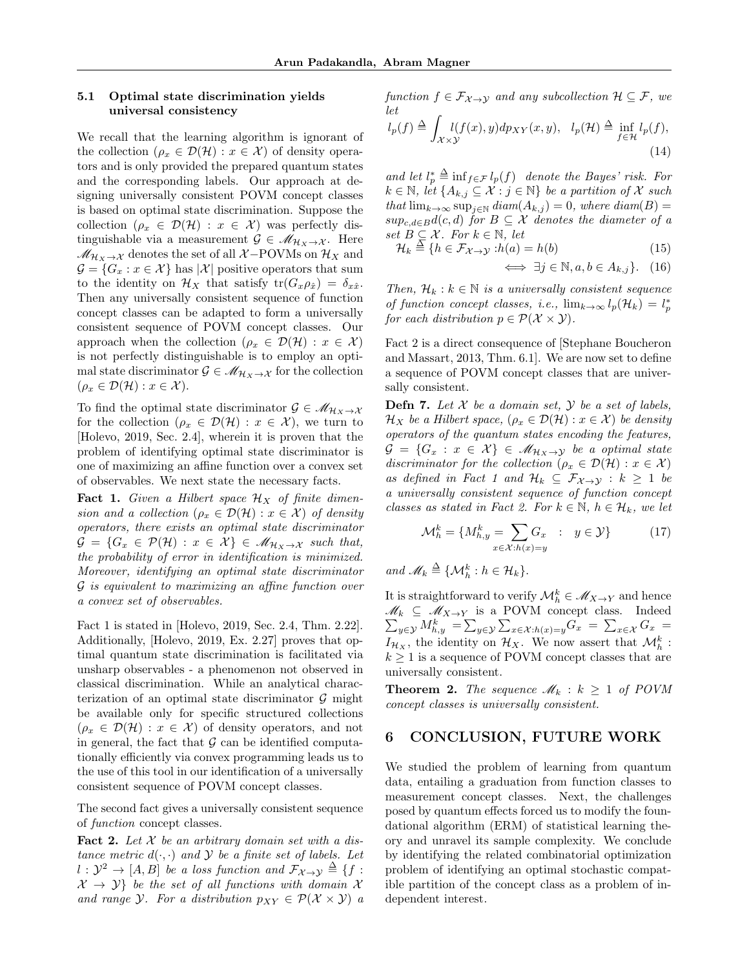### 5.1 Optimal state discrimination yields universal consistency

We recall that the learning algorithm is ignorant of the collection  $(\rho_x \in \mathcal{D}(\mathcal{H}) : x \in \mathcal{X})$  of density operators and is only provided the prepared quantum states and the corresponding labels. Our approach at designing universally consistent POVM concept classes is based on optimal state discrimination. Suppose the collection  $(\rho_x \in \mathcal{D}(\mathcal{H}) : x \in \mathcal{X})$  was perfectly distinguishable via a measurement  $\mathcal{G} \in \mathcal{M}_{\mathcal{H}_X \to \mathcal{X}}$ . Here  $\mathcal{M}_{\mathcal{H}_X\to\mathcal{X}}$  denotes the set of all  $\mathcal{X}-\text{POVMs}$  on  $\mathcal{H}_X$  and  $\mathcal{G} = \{G_x : x \in \mathcal{X}\}\$ has  $|\mathcal{X}|$  positive operators that sum to the identity on  $\mathcal{H}_X$  that satisfy  $tr(G_x \rho_{\hat{x}}) = \delta_{x\hat{x}}$ . Then any universally consistent sequence of function concept classes can be adapted to form a universally consistent sequence of POVM concept classes. Our approach when the collection ( $\rho_x \in \mathcal{D}(\mathcal{H}) : x \in \mathcal{X}$ ) is not perfectly distinguishable is to employ an optimal state discriminator  $\mathcal{G} \in \mathcal{M}_{\mathcal{H}_X \to \mathcal{X}}$  for the collection  $(\rho_x \in \mathcal{D}(\mathcal{H}) : x \in \mathcal{X}).$ 

To find the optimal state discriminator  $\mathcal{G} \in \mathcal{M}_{\mathcal{H}_X \to \mathcal{X}}$ for the collection  $(\rho_x \in \mathcal{D}(\mathcal{H}) : x \in \mathcal{X})$ , we turn to [Holevo, 2019, Sec. 2.4], wherein it is proven that the problem of identifying optimal state discriminator is one of maximizing an affine function over a convex set of observables. We next state the necessary facts.

**Fact 1.** Given a Hilbert space  $\mathcal{H}_X$  of finite dimension and a collection ( $\rho_x \in \mathcal{D}(\mathcal{H}) : x \in \mathcal{X}$ ) of density operators, there exists an optimal state discriminator  $\mathcal{G} = \{G_x \in \mathcal{P}(\mathcal{H}) : x \in \mathcal{X}\}\in \mathcal{M}_{\mathcal{H}_X \to \mathcal{X}}$  such that, the probability of error in identification is minimized. Moreover, identifying an optimal state discriminator G is equivalent to maximizing an affine function over a convex set of observables.

Fact 1 is stated in [Holevo, 2019, Sec. 2.4, Thm. 2.22]. Additionally, [Holevo, 2019, Ex. 2.27] proves that optimal quantum state discrimination is facilitated via unsharp observables - a phenomenon not observed in classical discrimination. While an analytical characterization of an optimal state discriminator  $\mathcal G$  might be available only for specific structured collections  $(\rho_x \in \mathcal{D}(\mathcal{H}) : x \in \mathcal{X})$  of density operators, and not in general, the fact that  $\mathcal G$  can be identified computationally efficiently via convex programming leads us to the use of this tool in our identification of a universally consistent sequence of POVM concept classes.

The second fact gives a universally consistent sequence of function concept classes.

**Fact 2.** Let  $X$  be an arbitrary domain set with a distance metric  $d(\cdot, \cdot)$  and  $\mathcal Y$  be a finite set of labels. Let  $l: \mathcal{Y}^2 \to [A, B]$  be a loss function and  $\mathcal{F}_{\mathcal{X} \to \mathcal{Y}} \triangleq \{f: X \to Y \}$  $\mathcal{X} \rightarrow \mathcal{Y}$  be the set of all functions with domain X and range Y. For a distribution  $p_{XY} \in \mathcal{P}(\mathcal{X} \times \mathcal{Y})$  a function  $f \in \mathcal{F}_{\mathcal{X} \to \mathcal{Y}}$  and any subcollection  $\mathcal{H} \subseteq \mathcal{F}$ , we let

$$
l_p(f) \triangleq \int_{\mathcal{X}\times\mathcal{Y}} l(f(x), y) dp_{XY}(x, y), \quad l_p(\mathcal{H}) \triangleq \inf_{f \in \mathcal{H}} l_p(f),
$$
\n(14)

and let  $l_p^* \triangleq \inf_{f \in \mathcal{F}} l_p(f)$  denote the Bayes' risk. For  $k \in \mathbb{N}$ , let  $\{A_{k,j} \subseteq \mathcal{X} : j \in \mathbb{N}\}\$ be a partition of X such that  $\lim_{k\to\infty}$  sup<sub>j∈N</sub> diam( $A_{k,j}$ ) = 0, where diam( $B$ ) =  $sup_{c,d\in B}d(c,d)$  for  $B\subseteq\mathcal{X}$  denotes the diameter of a set  $B \subseteq \mathcal{X}$ . For  $k \in \mathbb{N}$ , let

$$
\mathcal{H}_k \stackrel{\Delta}{=} \{ h \in \mathcal{F}_{\mathcal{X} \to \mathcal{Y}} : h(a) = h(b) \tag{15}
$$

$$
\iff \exists j \in \mathbb{N}, a, b \in A_{k,j} \}. \quad (16)
$$

Then,  $\mathcal{H}_k : k \in \mathbb{N}$  is a universally consistent sequence of function concept classes, i.e.,  $\lim_{k\to\infty} l_p(\mathcal{H}_k) = l_p^*$ for each distribution  $p \in \mathcal{P}(\mathcal{X} \times \mathcal{Y})$ .

Fact 2 is a direct consequence of [Stephane Boucheron and Massart, 2013, Thm. 6.1]. We are now set to define a sequence of POVM concept classes that are universally consistent.

**Defn 7.** Let  $X$  be a domain set,  $Y$  be a set of labels,  $\mathcal{H}_X$  be a Hilbert space,  $(\rho_x \in \mathcal{D}(\mathcal{H}) : x \in \mathcal{X})$  be density operators of the quantum states encoding the features,  $\mathcal{G} = \{G_x : x \in \mathcal{X}\}\in \mathcal{M}_{\mathcal{H}_X \to \mathcal{Y}}$  be a optimal state discriminator for the collection ( $\rho_x \in \mathcal{D}(\mathcal{H}) : x \in \mathcal{X}$ ) as defined in Fact 1 and  $\mathcal{H}_k \subseteq \mathcal{F}_{\mathcal{X} \to \mathcal{Y}} : k \geq 1$  be a universally consistent sequence of function concept classes as stated in Fact 2. For  $k \in \mathbb{N}$ ,  $h \in \mathcal{H}_k$ , we let

$$
\mathcal{M}_h^k = \{ M_{h,y}^k = \sum_{x \in \mathcal{X}: h(x) = y} G_x : y \in \mathcal{Y} \}
$$
 (17)

and  $\mathscr{M}_k \triangleq \{ \mathcal{M}_h^k : h \in \mathcal{H}_k \}.$ 

It is straightforward to verify  $\mathcal{M}_h^k \in \mathcal{M}_{X \to Y}$  and hence  $\mathscr{M}_k \subseteq \mathscr{M}_{X \to Y}$  is a POVM concept class. Indeed  $\sum_{y\in\mathcal{Y}}M_{h,y}^k = \sum_{y\in\mathcal{Y}}\sum_{x\in\mathcal{X}:h(x)=y}G_x = \sum_{x\in\mathcal{X}}G_x$  $I_{\mathcal{H}_X}$ , the identity on  $\mathcal{H}_X$ . We now assert that  $\mathcal{M}_h^k$ :  $k \geq 1$  is a sequence of POVM concept classes that are universally consistent.

**Theorem 2.** The sequence  $\mathcal{M}_k : k \geq 1$  of POVM concept classes is universally consistent.

### 6 CONCLUSION, FUTURE WORK

We studied the problem of learning from quantum data, entailing a graduation from function classes to measurement concept classes. Next, the challenges posed by quantum effects forced us to modify the foundational algorithm (ERM) of statistical learning theory and unravel its sample complexity. We conclude by identifying the related combinatorial optimization problem of identifying an optimal stochastic compatible partition of the concept class as a problem of independent interest.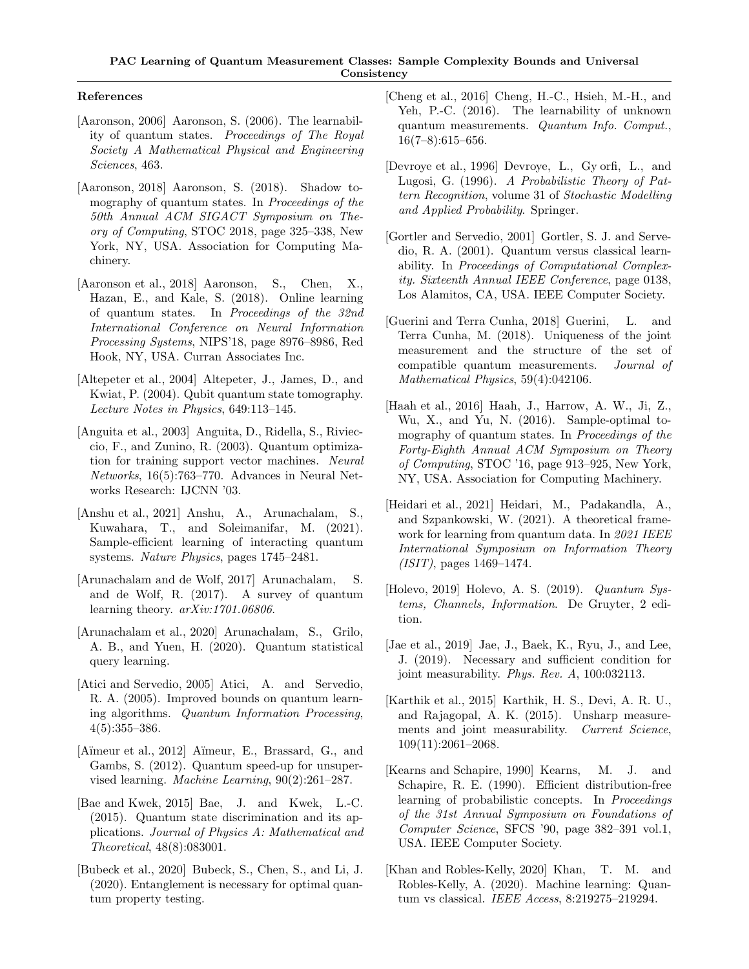### References

- [Aaronson, 2006] Aaronson, S. (2006). The learnability of quantum states. Proceedings of The Royal Society A Mathematical Physical and Engineering Sciences, 463.
- [Aaronson, 2018] Aaronson, S. (2018). Shadow tomography of quantum states. In *Proceedings of the* 50th Annual ACM SIGACT Symposium on Theory of Computing, STOC 2018, page 325–338, New York, NY, USA. Association for Computing Machinery.
- [Aaronson et al., 2018] Aaronson, S., Chen, X., Hazan, E., and Kale, S. (2018). Online learning of quantum states. In Proceedings of the 32nd International Conference on Neural Information Processing Systems, NIPS'18, page 8976–8986, Red Hook, NY, USA. Curran Associates Inc.
- [Altepeter et al., 2004] Altepeter, J., James, D., and Kwiat, P. (2004). Qubit quantum state tomography. Lecture Notes in Physics, 649:113–145.
- [Anguita et al., 2003] Anguita, D., Ridella, S., Rivieccio, F., and Zunino, R. (2003). Quantum optimization for training support vector machines. Neural Networks, 16(5):763–770. Advances in Neural Networks Research: IJCNN '03.
- [Anshu et al., 2021] Anshu, A., Arunachalam, S., Kuwahara, T., and Soleimanifar, M. (2021). Sample-efficient learning of interacting quantum systems. Nature Physics, pages 1745–2481.
- [Arunachalam and de Wolf, 2017] Arunachalam, S. and de Wolf, R. (2017). A survey of quantum learning theory.  $arXiv:1701.06806$ .
- [Arunachalam et al., 2020] Arunachalam, S., Grilo, A. B., and Yuen, H. (2020). Quantum statistical query learning.
- [Atici and Servedio, 2005] Atici, A. and Servedio, R. A. (2005). Improved bounds on quantum learning algorithms. Quantum Information Processing,  $4(5):355-386.$
- [Aïmeur et al., 2012] Aïmeur, E., Brassard, G., and Gambs, S. (2012). Quantum speed-up for unsupervised learning. Machine Learning, 90(2):261–287.
- [Bae and Kwek, 2015] Bae, J. and Kwek, L.-C. (2015). Quantum state discrimination and its applications. Journal of Physics A: Mathematical and Theoretical, 48(8):083001.
- [Bubeck et al., 2020] Bubeck, S., Chen, S., and Li, J. (2020). Entanglement is necessary for optimal quantum property testing.
- [Cheng et al., 2016] Cheng, H.-C., Hsieh, M.-H., and Yeh, P.-C. (2016). The learnability of unknown quantum measurements. Quantum Info. Comput., 16(7–8):615–656.
- [Devroye et al., 1996] Devroye, L., Gy orfi, L., and Lugosi, G. (1996). A Probabilistic Theory of Pattern Recognition, volume 31 of Stochastic Modelling and Applied Probability. Springer.
- [Gortler and Servedio, 2001] Gortler, S. J. and Servedio, R. A. (2001). Quantum versus classical learnability. In Proceedings of Computational Complexity. Sixteenth Annual IEEE Conference, page 0138, Los Alamitos, CA, USA. IEEE Computer Society.
- [Guerini and Terra Cunha, 2018] Guerini, L. and Terra Cunha, M. (2018). Uniqueness of the joint measurement and the structure of the set of compatible quantum measurements. Journal of Mathematical Physics, 59(4):042106.
- [Haah et al., 2016] Haah, J., Harrow, A. W., Ji, Z., Wu, X., and Yu, N. (2016). Sample-optimal tomography of quantum states. In *Proceedings of the* Forty-Eighth Annual ACM Symposium on Theory of Computing, STOC '16, page 913–925, New York, NY, USA. Association for Computing Machinery.
- [Heidari et al., 2021] Heidari, M., Padakandla, A., and Szpankowski, W. (2021). A theoretical framework for learning from quantum data. In 2021 IEEE International Symposium on Information Theory (ISIT), pages 1469–1474.
- [Holevo, 2019] Holevo, A. S. (2019). Quantum Systems, Channels, Information. De Gruyter, 2 edition.
- [Jae et al., 2019] Jae, J., Baek, K., Ryu, J., and Lee, J. (2019). Necessary and sufficient condition for joint measurability. Phys. Rev. A, 100:032113.
- [Karthik et al., 2015] Karthik, H. S., Devi, A. R. U., and Rajagopal, A. K. (2015). Unsharp measurements and joint measurability. Current Science, 109(11):2061–2068.
- [Kearns and Schapire, 1990] Kearns, M. J. and Schapire, R. E. (1990). Efficient distribution-free learning of probabilistic concepts. In Proceedings of the 31st Annual Symposium on Foundations of Computer Science, SFCS '90, page 382–391 vol.1, USA. IEEE Computer Society.
- [Khan and Robles-Kelly, 2020] Khan, T. M. and Robles-Kelly, A. (2020). Machine learning: Quantum vs classical. IEEE Access, 8:219275–219294.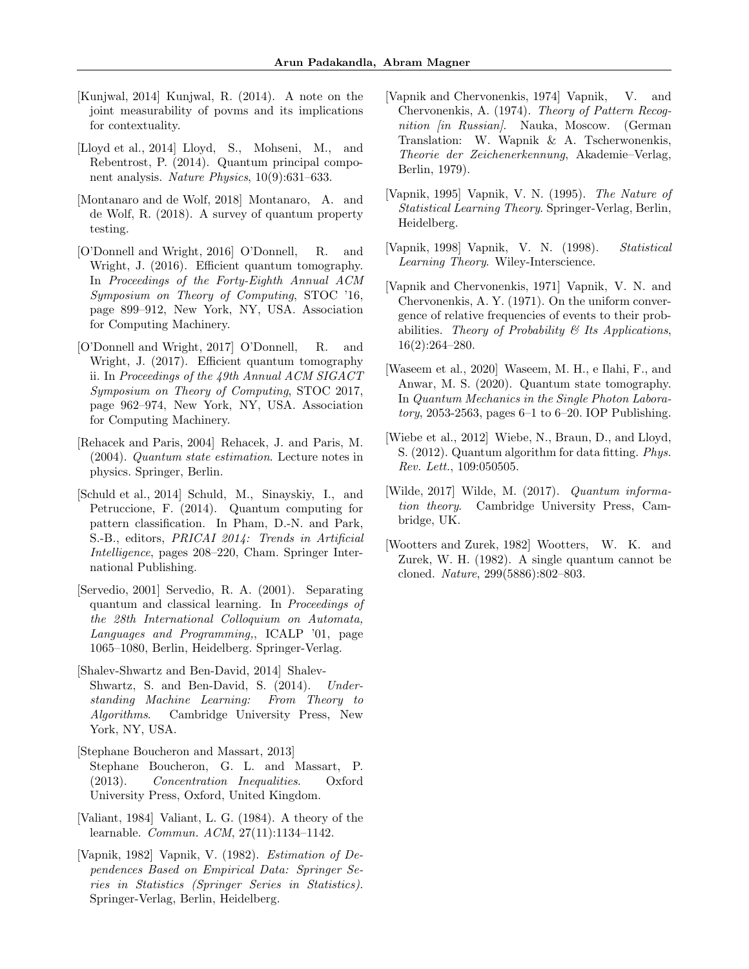- [Kunjwal, 2014] Kunjwal, R. (2014). A note on the joint measurability of povms and its implications for contextuality.
- [Lloyd et al., 2014] Lloyd, S., Mohseni, M., and Rebentrost, P. (2014). Quantum principal component analysis. Nature Physics, 10(9):631–633.
- [Montanaro and de Wolf, 2018] Montanaro, A. and de Wolf, R. (2018). A survey of quantum property testing.
- [O'Donnell and Wright, 2016] O'Donnell, R. and Wright, J. (2016). Efficient quantum tomography. In Proceedings of the Forty-Eighth Annual ACM Symposium on Theory of Computing, STOC '16, page 899–912, New York, NY, USA. Association for Computing Machinery.
- [O'Donnell and Wright, 2017] O'Donnell, R. and Wright, J. (2017). Efficient quantum tomography ii. In Proceedings of the 49th Annual ACM SIGACT Symposium on Theory of Computing, STOC 2017, page 962–974, New York, NY, USA. Association for Computing Machinery.
- [Rehacek and Paris, 2004] Rehacek, J. and Paris, M. (2004). Quantum state estimation. Lecture notes in physics. Springer, Berlin.
- [Schuld et al., 2014] Schuld, M., Sinayskiy, I., and Petruccione, F. (2014). Quantum computing for pattern classification. In Pham, D.-N. and Park, S.-B., editors, PRICAI 2014: Trends in Artificial Intelligence, pages 208–220, Cham. Springer International Publishing.
- [Servedio, 2001] Servedio, R. A. (2001). Separating quantum and classical learning. In Proceedings of the 28th International Colloquium on Automata, Languages and Programming,, ICALP '01, page 1065–1080, Berlin, Heidelberg. Springer-Verlag.
- [Shalev-Shwartz and Ben-David, 2014] Shalev-Shwartz, S. and Ben-David, S. (2014). Understanding Machine Learning: From Theory to Algorithms. Cambridge University Press, New York, NY, USA.
- [Stephane Boucheron and Massart, 2013] Stephane Boucheron, G. L. and Massart, P. (2013). Concentration Inequalities. Oxford University Press, Oxford, United Kingdom.
- [Valiant, 1984] Valiant, L. G. (1984). A theory of the learnable. Commun. ACM, 27(11):1134–1142.
- [Vapnik, 1982] Vapnik, V. (1982). Estimation of Dependences Based on Empirical Data: Springer Series in Statistics (Springer Series in Statistics). Springer-Verlag, Berlin, Heidelberg.
- [Vapnik and Chervonenkis, 1974] Vapnik, V. and Chervonenkis, A. (1974). Theory of Pattern Recognition *fin Russian*. Nauka, Moscow. (German Translation: W. Wapnik & A. Tscherwonenkis, Theorie der Zeichenerkennung, Akademie–Verlag, Berlin, 1979).
- [Vapnik, 1995] Vapnik, V. N. (1995). The Nature of Statistical Learning Theory. Springer-Verlag, Berlin, Heidelberg.
- [Vapnik, 1998] Vapnik, V. N. (1998). Statistical Learning Theory. Wiley-Interscience.
- [Vapnik and Chervonenkis, 1971] Vapnik, V. N. and Chervonenkis, A. Y. (1971). On the uniform convergence of relative frequencies of events to their probabilities. Theory of Probability  $\mathcal B$  Its Applications, 16(2):264–280.
- [Waseem et al., 2020] Waseem, M. H., e Ilahi, F., and Anwar, M. S. (2020). Quantum state tomography. In Quantum Mechanics in the Single Photon Labora*tory*, 2053-2563, pages  $6-1$  to  $6-20$ . IOP Publishing.
- [Wiebe et al., 2012] Wiebe, N., Braun, D., and Lloyd, S. (2012). Quantum algorithm for data fitting. Phys. Rev. Lett., 109:050505.
- [Wilde, 2017] Wilde, M. (2017). Quantum information theory. Cambridge University Press, Cambridge, UK.
- [Wootters and Zurek, 1982] Wootters, W. K. and Zurek, W. H. (1982). A single quantum cannot be cloned. Nature, 299(5886):802–803.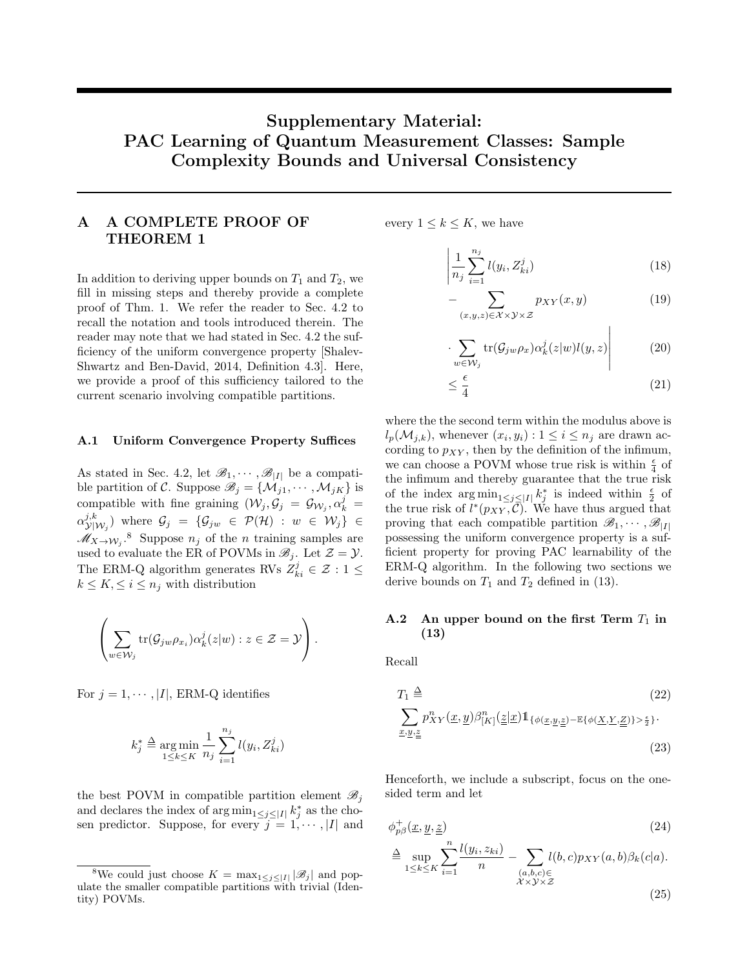# Supplementary Material: PAC Learning of Quantum Measurement Classes: Sample Complexity Bounds and Universal Consistency

## A A COMPLETE PROOF OF THEOREM 1

In addition to deriving upper bounds on  $T_1$  and  $T_2$ , we fill in missing steps and thereby provide a complete proof of Thm. 1. We refer the reader to Sec. 4.2 to recall the notation and tools introduced therein. The reader may note that we had stated in Sec. 4.2 the sufficiency of the uniform convergence property [Shalev-Shwartz and Ben-David, 2014, Definition 4.3]. Here, we provide a proof of this sufficiency tailored to the current scenario involving compatible partitions.

### A.1 Uniform Convergence Property Suffices

As stated in Sec. 4.2, let  $\mathscr{B}_1, \cdots, \mathscr{B}_{|I|}$  be a compatible partition of C. Suppose  $\mathscr{B}_j = \{ \mathcal{M}_{j1}, \cdots, \mathcal{M}_{jK} \}$  is compatible with fine graining  $(\mathcal{W}_j, \mathcal{G}_j = \mathcal{G}_{\mathcal{W}_j}, \alpha_k^j =$  $\alpha_{\text{V}}^{j,k}$  $(\mathcal{Y}^{j,k}_{|\mathcal{W}_j})$  where  $\mathcal{G}_j = \{\mathcal{G}_{jw} \in \mathcal{P}(\mathcal{H}) \ : \ w \ \in \ \mathcal{W}_j\} \ \in$  $\mathscr{M}_{X\to \mathcal{W}_j}$ .<sup>8</sup> Suppose  $n_j$  of the *n* training samples are used to evaluate the ER of POVMs in  $\mathscr{B}_i$ . Let  $\mathcal{Z} = \mathcal{Y}$ . The ERM-Q algorithm generates RVs  $Z_{ki}^j \in \mathcal{Z} : 1 \leq$  $k \leq K, \leq i \leq n_j$  with distribution

$$
\left(\sum_{w\in\mathcal{W}_j}\text{tr}(\mathcal{G}_{jw}\rho_{x_i})\alpha_k^j(z|w):z\in\mathcal{Z}=\mathcal{Y}\right).
$$

For  $j = 1, \dots, |I|$ , ERM-Q identifies

$$
k_j^* \triangleq \underset{1 \le k \le K}{\arg \min} \frac{1}{n_j} \sum_{i=1}^{n_j} l(y_i, Z_{ki}^j)
$$

the best POVM in compatible partition element  $\mathscr{B}_i$ and declares the index of  $\arg \min_{1 \leq j \leq |I|} k_j^*$  as the chosen predictor. Suppose, for every  $j = 1, \dots, |I|$  and every  $1 \leq k \leq K$ , we have

$$
\left| \frac{1}{n_j} \sum_{i=1}^{n_j} l(y_i, Z_{ki}^j) \right| \tag{18}
$$

$$
-\sum_{(x,y,z)\in\mathcal{X}\times\mathcal{Y}\times\mathcal{Z}}p_{XY}(x,y)\tag{19}
$$

 $\overline{1}$ 

$$
\left. \sum_{w \in \mathcal{W}_j} \text{tr}(\mathcal{G}_{jw} \rho_x) \alpha_k^j(z|w) l(y,z) \right| \tag{20}
$$

$$
\leq \frac{\epsilon}{4} \tag{21}
$$

where the the second term within the modulus above is  $l_p(\mathcal{M}_{j,k}),$  whenever  $(x_i, y_i): 1 \leq i \leq n_j$  are drawn according to  $p_{XY}$ , then by the definition of the infimum, we can choose a POVM whose true risk is within  $\frac{\epsilon}{4}$  of the infimum and thereby guarantee that the true risk of the index  $\arg \min_{1 \leq j \leq |I|} k_j^*$  is indeed within  $\frac{\epsilon}{2}$  of the true risk of  $l^*(p_{XY}, \tilde{\mathcal{C}})$ . We have thus argued that proving that each compatible partition  $\mathscr{B}_1, \cdots, \mathscr{B}_{|I|}$ possessing the uniform convergence property is a sufficient property for proving PAC learnability of the ERM-Q algorithm. In the following two sections we derive bounds on  $T_1$  and  $T_2$  defined in (13).

### A.2 An upper bound on the first Term  $T_1$  in (13)

Recall

$$
T_1 \triangleq (22)
$$
  

$$
\sum_{\underline{x}, \underline{y}, \underline{z}} p_{XY}^n(\underline{x}, \underline{y}) \beta_{[K]}^n(\underline{z}|\underline{x}) \mathbb{1}_{\{\phi(\underline{x}, \underline{y}, \underline{z}) - \mathbb{E}\{\phi(\underline{X}, \underline{Y}, \underline{Z})\} > \frac{\epsilon}{2}\}}.
$$
  
(23)

Henceforth, we include a subscript, focus on the onesided term and let

$$
\phi_{p\beta}^+(\underline{x}, \underline{y}, \underline{z})\tag{24}
$$

$$
\stackrel{\Delta}{=} \sup_{1 \le k \le K} \sum_{i=1}^n \frac{l(y_i, z_{ki})}{n} - \sum_{\substack{(a, b, c) \in \\ \mathcal{X} \times \mathcal{Y} \times \mathcal{Z}}} l(b, c) p_{XY}(a, b) \beta_k(c|a).
$$
\n(25)

<sup>&</sup>lt;sup>8</sup>We could just choose  $K = \max_{1 \leq j \leq |I|} |\mathscr{B}_j|$  and populate the smaller compatible partitions with trivial (Identity) POVMs.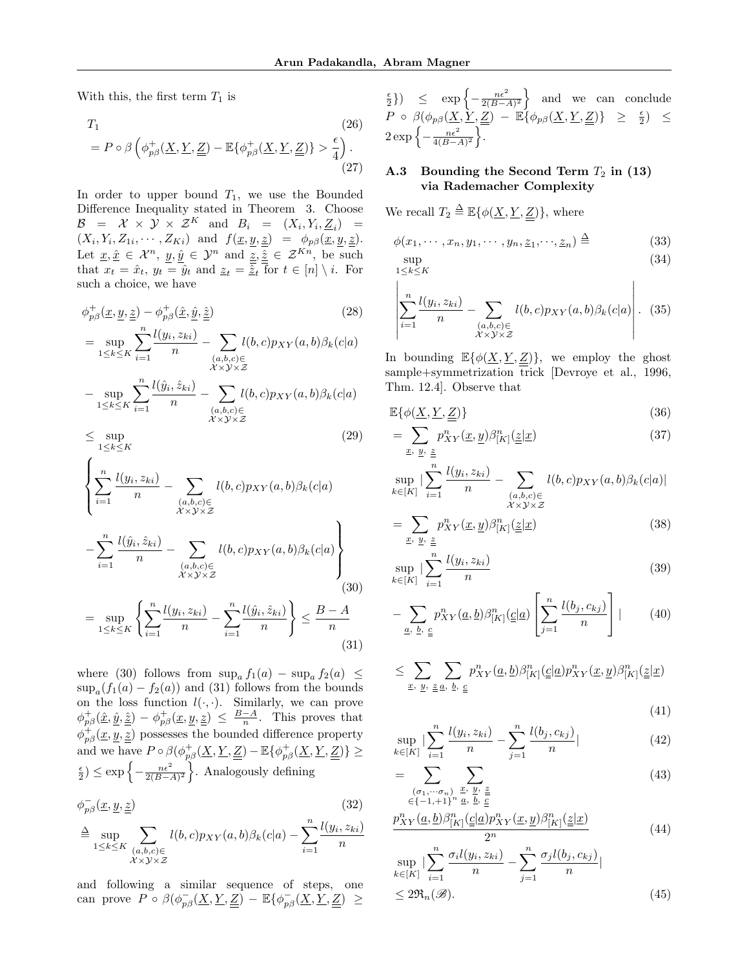With this, the first term  $T_1$  is

$$
T_1
$$
\n
$$
= P \circ \beta \left( \phi_{p\beta}^+(\underline{X}, \underline{Y}, \underline{Z}) - \mathbb{E} \{ \phi_{p\beta}^+(\underline{X}, \underline{Y}, \underline{Z}) \} > \frac{\epsilon}{4} \right).
$$
\n
$$
(27)
$$

In order to upper bound  $T_1$ , we use the Bounded Difference Inequality stated in Theorem 3. Choose  $\mathcal{B}$  =  $\mathcal{X} \times \mathcal{Y} \times \mathcal{Z}^K$  and  $B_i$  =  $(X_i, Y_i, \underline{Z}_i)$  =  $(X_i, Y_i, Z_{1i}, \cdots, Z_{Ki})$  and  $f(\underline{x}, y, \underline{z}) = \phi_{p\beta}(\underline{x}, y, \underline{z}).$ Let  $\underline{x}, \underline{\hat{x}} \in \mathcal{X}^n$ ,  $y, \hat{y} \in \mathcal{Y}^n$  and  $\underline{z}, \underline{\hat{z}} \in \mathcal{Z}^{Kn}$ , be such that  $x_t = \hat{x}_t$ ,  $y_t = \hat{y}_t$  and  $\underline{z}_t = \hat{\underline{z}}_t$  for  $t \in [n] \setminus i$ . For such a choice, we have

$$
\phi_{p\beta}^+(\underline{x}, \underline{y}, \underline{z}) - \phi_{p\beta}^+(\hat{\underline{x}}, \hat{\underline{y}}, \underline{\hat{z}})
$$
\n
$$
= \sup_{1 \le k \le K} \sum_{i=1}^n \frac{l(y_i, z_{ki})}{n} - \sum_{\substack{(a, b, c) \in \\ \mathcal{X} \times \mathcal{Y} \times \mathcal{Z}}} l(b, c) p_{XY}(a, b) \beta_k(c|a)
$$
\n
$$
(28)
$$

$$
-\sup_{1 \le k \le K} \sum_{i=1}^{n} \frac{l(\hat{y}_i, \hat{z}_{ki})}{n} - \sum_{\substack{(a,b,c) \in \\ \mathcal{X} \times \mathcal{Y} \times \mathcal{Z}}} l(b,c) p_{XY}(a,b) \beta_k(c|a)
$$
  

$$
\leq \sup (29)
$$

$$
\geq \sup_{1 \leq k \leq K}
$$

$$
\left\{\sum_{i=1}^{n} \frac{l(y_i, z_{ki})}{n} - \sum_{\substack{(a,b,c) \in \\ \mathcal{X} \times \mathcal{Y} \times \mathcal{Z}}} l(b,c) p_{XY}(a,b) \beta_k(c|a) - \sum_{i=1}^{n} \frac{l(\hat{y}_i, \hat{z}_{ki})}{n} - \sum_{\substack{(a,b,c) \in \\ \mathcal{X} \times \mathcal{Y} \times \mathcal{Z}}} l(b,c) p_{XY}(a,b) \beta_k(c|a) \right\}
$$
\n(30)

$$
= \sup_{1 \le k \le K} \left\{ \sum_{i=1}^{n} \frac{l(y_i, z_{ki})}{n} - \sum_{i=1}^{n} \frac{l(\hat{y}_i, \hat{z}_{ki})}{n} \right\} \le \frac{B - A}{n}
$$
\n(31)

where (30) follows from  $\sup_a f_1(a) - \sup_a f_2(a) \leq$  $\sup_a(f_1(a) - f_2(a))$  and (31) follows from the bounds on the loss function  $l(\cdot, \cdot)$ . Similarly, we can prove  $\phi_{p\beta}^+(\hat{\underline{x}}, \hat{\underline{y}}, \hat{\underline{z}}) - \phi_{p\beta}^+(\underline{x}, \underline{y}, \underline{z}) \leq \frac{B-A}{n}$ . This proves that  $\phi_{p\beta}^{\dagger}(\underline{x},\underline{y},\underline{z})$  possesses the bounded difference property and we have  $P \circ \beta(\phi_{p\beta}^+(\underline{X}, \underline{Y}, \underline{Z}) - \mathbb{E}\{\phi_{p\beta}^+(\underline{X}, \underline{Y}, \underline{Z})\} \geq$  $\left\{ \frac{\epsilon}{2} \right\} \leq \exp \left\{ -\frac{n\epsilon^2}{2(B-A)^2} \right\}$ . Analogously defining

$$
\phi_{p\beta}^-(\underline{x}, \underline{y}, \underline{z})\tag{32}
$$

$$
\triangleq \sup_{1 \leq k \leq K} \sum_{\substack{(a,b,c) \in \\ \mathcal{X} \times \mathcal{Y} \times \mathcal{Z}}} l(b,c) p_{XY}(a,b) \beta_k(c|a) - \sum_{i=1}^n \frac{l(y_i,z_{ki})}{n}
$$

and following a similar sequence of steps, one can prove  $P \circ \beta(\phi_{p\beta}^{-}(\underline{X}, \underline{Y}, \underline{Z}) - \mathbb{E}\{\phi_{p\beta}^{-}(\underline{X}, \underline{Y}, \underline{Z}) \geq$ 

 $\left\{\frac{\epsilon}{2}\right\}$   $\leq$  exp $\left\{-\frac{n\epsilon^2}{2(B-A)^2}\right\}$  and we can conclude  $P \circ \beta(\phi_{p\beta}(\underline{X}, \underline{\tilde{Y}}, \underline{\underline{Z}}) - \mathbb{E}\{\phi_{p\beta}(\underline{X}, \underline{Y}, \underline{\underline{Z}})\} \geq \frac{\epsilon}{2}) \leq$  $2 \exp \left\{-\frac{n\epsilon^2}{4(B-A)^2}\right\}.$ 

## A.3 Bounding the Second Term  $T_2$  in (13) via Rademacher Complexity

We recall  $T_2 \triangleq \mathbb{E}\{\phi(\underline{X}, \underline{Y}, \underline{Z})\}$ , where

$$
\phi(x_1, \cdots, x_n, y_1, \cdots, y_n, \underline{z}_1, \cdots, \underline{z}_n) \stackrel{\Delta}{=} \tag{33}
$$

$$
\sup_{1 \le k \le K} \tag{34}
$$

$$
\left| \sum_{i=1}^{n} \frac{l(y_i, z_{ki})}{n} - \sum_{\substack{(a, b, c) \in \\ \mathcal{X} \times \mathcal{Y} \times \mathcal{Z}}} l(b, c) p_{XY}(a, b) \beta_k(c|a) \right|.
$$
 (35)

In bounding  $\mathbb{E}\{\phi(\underline{X}, \underline{Y}, \underline{Z})\}$ , we employ the ghost sample+symmetrization trick [Devroye et al., 1996, Thm. 12.4]. Observe that

$$
\mathbb{E}\{\phi(\underline{X}, \underline{Y}, \underline{Z})\}\tag{36}
$$

$$
=\sum_{\underline{x},\underline{y},\underline{z}}p_{XY}^n(\underline{x},\underline{y})\beta_{[K]}^n(\underline{z}|\underline{x})\tag{37}
$$

$$
\sup_{k \in [K]} |\sum_{i=1}^n \frac{l(y_i, z_{ki})}{n} - \sum_{\substack{(a,b,c) \in \\ \mathcal{X} \times \mathcal{Y} \times \mathcal{Z}}} l(b,c) p_{XY}(a,b) \beta_k(c|a)|
$$

$$
= \sum_{\underline{x}, \underline{y}, \underline{z}} p_{XY}^n(\underline{x}, \underline{y}) \beta_{[K]}^n(\underline{z}|\underline{x}) \tag{38}
$$

$$
\sup_{k \in [K]} |\sum_{i=1}^{n} \frac{l(y_i, z_{ki})}{n} \tag{39}
$$

$$
-\sum_{\underline{a}, \underline{b}, \underline{c}} p_{XY}^n(\underline{a}, \underline{b}) \beta_{[K]}^n(\underline{c}|\underline{a}) \left[ \sum_{j=1}^n \frac{l(b_j, c_{kj})}{n} \right] | \qquad (40)
$$

$$
\leq \sum_{\underline{x},~\underline{y},~\underline{\underline{z}}~\underline{a},~\underline{b},~\underline{c}} p_{XY}^n(\underline{a},\underline{b}) \beta_{[K]}^n(\underline{\underline{c}}|\underline{a}) p_{XY}^n(\underline{x},\underline{y}) \beta_{[K]}^n(\underline{\underline{z}}|\underline{x})
$$

(41)

$$
\sup_{k \in [K]} |\sum_{i=1}^{n} \frac{l(y_i, z_{ki})}{n} - \sum_{j=1}^{n} \frac{l(b_j, c_{kj})}{n}| \tag{42}
$$

$$
= \sum_{\substack{(\sigma_1, \cdots, \sigma_n) \\ \in \{-1, +1\}^n}} \sum_{\substack{x, y, \underline{z} \\ a, b, c}} \tag{43}
$$

$$
\frac{p_{XY}^n(\underline{a}, \underline{b})\beta_{[K]}^n(\underline{\underline{c}}|\underline{a})p_{XY}^n(\underline{x}, \underline{y})\beta_{[K]}^n(\underline{\underline{z}}|\underline{x})}{2^n} \tag{44}
$$

$$
\sup_{k \in [K]} |\sum_{i=1}^{n} \frac{\sigma_i l(y_i, z_{ki})}{n} - \sum_{j=1}^{n} \frac{\sigma_j l(b_j, c_{kj})}{n}|
$$
  
 
$$
\leq 2\Re_n(\mathscr{B}).
$$
 (45)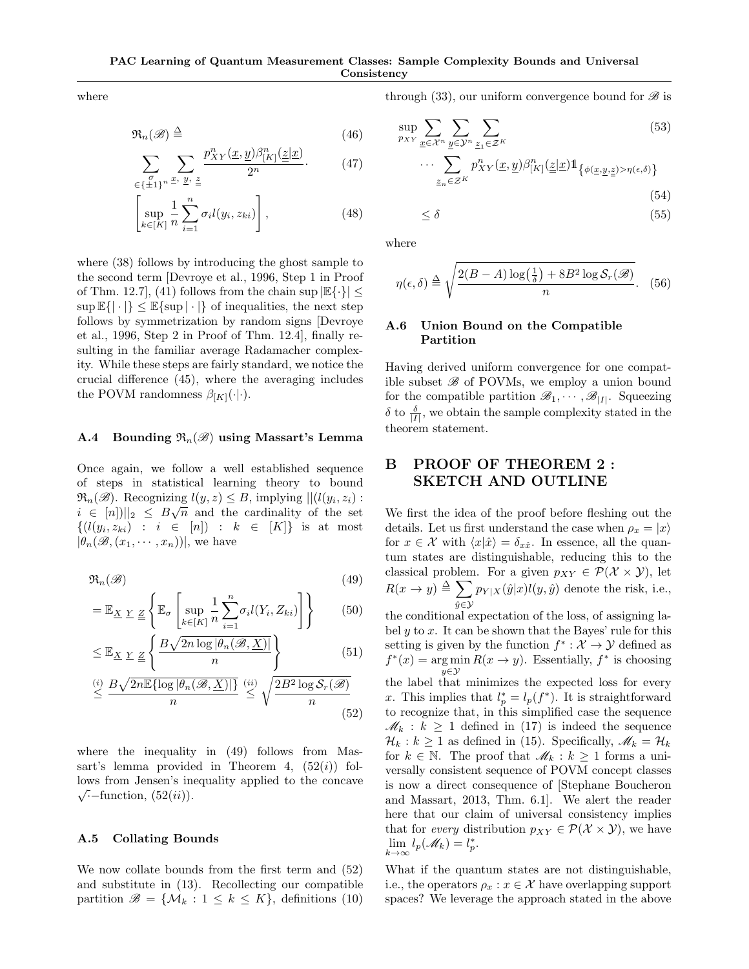where

$$
\mathfrak{R}_n(\mathscr{B}) \stackrel{\Delta}{=} \tag{46}
$$

$$
\sum_{\substack{\sigma \\ \in \{\pm 1\}^n}} \sum_{x, y, \underline{z}} \frac{p_{XY}^n(\underline{x}, \underline{y}) \beta_{[K]}^n(\underline{z}|\underline{x})}{2^n}.
$$
 (47)

$$
\left[\sup_{k\in[K]} \frac{1}{n} \sum_{i=1}^{n} \sigma_i l(y_i, z_{ki})\right],\tag{48}
$$

where (38) follows by introducing the ghost sample to the second term [Devroye et al., 1996, Step 1 in Proof of Thm. 12.7, (41) follows from the chain sup  $\mathbb{E}\{\cdot\}$  <  $\sup \mathbb{E}\{|\cdot|\} \leq \mathbb{E}\{\sup |\cdot|\}$  of inequalities, the next step follows by symmetrization by random signs [Devroye et al., 1996, Step 2 in Proof of Thm. 12.4], finally resulting in the familiar average Radamacher complexity. While these steps are fairly standard, we notice the crucial difference (45), where the averaging includes the POVM randomness  $\beta_{[K]}(\cdot|\cdot)$ .

### A.4 Bounding  $\mathfrak{R}_n(\mathscr{B})$  using Massart's Lemma

Once again, we follow a well established sequence of steps in statistical learning theory to bound  $\mathfrak{R}_n(\mathscr{B})$ . Recognizing  $l(y, z) \leq B$ , implying  $||(l(y_i, z_i))$ :  $i \in [n] \mid |_{2} \leq B\sqrt{n}$  and the cardinality of the set  $\{(l(y_i, z_{ki}) : i \in [n]) : k \in [K]\}$  is at most  $|\theta_n(\mathscr{B},(x_1,\dots,x_n))|$ , we have

$$
\mathfrak{R}_n(\mathscr{B})\tag{49}
$$

$$
= \mathbb{E}_{\underline{X}} \underline{Y} \underline{Z} \left\{ \mathbb{E}_{\sigma} \left[ \sup_{k \in [K]} \frac{1}{n} \sum_{i=1}^{n} \sigma_i l(Y_i, Z_{ki}) \right] \right\} \tag{50}
$$

$$
\leq \mathbb{E}_{\underline{X}} \underline{Y} \underline{Z} \left\{ \frac{B\sqrt{2n \log |\theta_n(\mathcal{B}, \underline{X})|}}{n} \right\} \tag{51}
$$

$$
\leq \frac{B\sqrt{2n\mathbb{E}\{\log|\theta_n(\mathcal{B}, \underline{X})|\}}}{n} \stackrel{(ii)}{\leq} \sqrt{\frac{2B^2\log\mathcal{S}_r(\mathcal{B})}{n}}
$$
\n(52)

where the inequality in (49) follows from Massart's lemma provided in Theorem 4,  $(52(i))$  follows from Jensen's inequality applied to the concave  $\sqrt{\cdot}$ -function,  $(52(ii))$ .

### A.5 Collating Bounds

We now collate bounds from the first term and (52) and substitute in (13). Recollecting our compatible partition  $\mathscr{B} = \{ \mathcal{M}_k : 1 \leq k \leq K \}$ , definitions (10)

through (33), our uniform convergence bound for  $\mathscr{B}$  is

$$
\sup_{p_{XY}} \sum_{\underline{x} \in \mathcal{X}^n} \sum_{\underline{y} \in \mathcal{Y}^n} \sum_{\underline{z}_1 \in \mathcal{Z}^K} \tag{53}
$$

$$
\cdots \sum_{\underline{z}_n \in \mathcal{Z}^K} p_{XY}^n(\underline{x}, \underline{y}) \beta_{[K]}^n(\underline{\underline{z}} | \underline{x}) \mathbb{1}_{\{\phi(\underline{x}, \underline{y}, \underline{\underline{z}}) > \eta(\epsilon, \delta)\}} \tag{54}
$$

$$
\leq \delta \tag{55}
$$

where

$$
\eta(\epsilon,\delta) \triangleq \sqrt{\frac{2(B-A)\log\left(\frac{1}{\delta}\right) + 8B^2\log\mathcal{S}_r(\mathscr{B})}{n}}.\tag{56}
$$

### A.6 Union Bound on the Compatible Partition

Having derived uniform convergence for one compatible subset  $\mathscr B$  of POVMs, we employ a union bound for the compatible partition  $\mathscr{B}_1, \cdots, \mathscr{B}_{|I|}$ . Squeezing  $\delta$  to  $\frac{\delta}{|I|}$ , we obtain the sample complexity stated in the theorem statement.

# B PROOF OF THEOREM 2 : SKETCH AND OUTLINE

We first the idea of the proof before fleshing out the details. Let us first understand the case when  $\rho_x = |x\rangle$ for  $x \in \mathcal{X}$  with  $\langle x | \hat{x} \rangle = \delta_{x\hat{x}}$ . In essence, all the quantum states are distinguishable, reducing this to the classical problem. For a given  $p_{XY} \in \mathcal{P}(\mathcal{X} \times \mathcal{Y})$ , let  $R(x \to y) \triangleq \sum$  $\hat{y} \in \mathcal{Y}$  $p_{Y|X}(\hat{y}|x)l(y,\hat{y})$  denote the risk, i.e., the conditional expectation of the loss, of assigning la-

bel  $y$  to  $x$ . It can be shown that the Bayes' rule for this setting is given by the function  $f^* : \mathcal{X} \to \mathcal{Y}$  defined as  $f^*(x) = \arg \min R(x \to y)$ . Essentially,  $f^*$  is choosing y∈Y the label that minimizes the expected loss for every x. This implies that  $l_p^* = l_p(f^*)$ . It is straightforward to recognize that, in this simplified case the sequence  $\mathcal{M}_k : k \geq 1$  defined in (17) is indeed the sequence  $\mathcal{H}_k : k \geq 1$  as defined in (15). Specifically,  $\mathcal{M}_k = \mathcal{H}_k$ for  $k \in \mathbb{N}$ . The proof that  $\mathscr{M}_k : k \geq 1$  forms a universally consistent sequence of POVM concept classes is now a direct consequence of [Stephane Boucheron and Massart, 2013, Thm. 6.1]. We alert the reader here that our claim of universal consistency implies that for every distribution  $p_{XY} \in \mathcal{P}(\mathcal{X} \times \mathcal{Y})$ , we have  $\lim_{k\to\infty} l_p(\mathscr{M}_k) = l_p^*.$ 

What if the quantum states are not distinguishable, i.e., the operators  $\rho_x : x \in \mathcal{X}$  have overlapping support spaces? We leverage the approach stated in the above